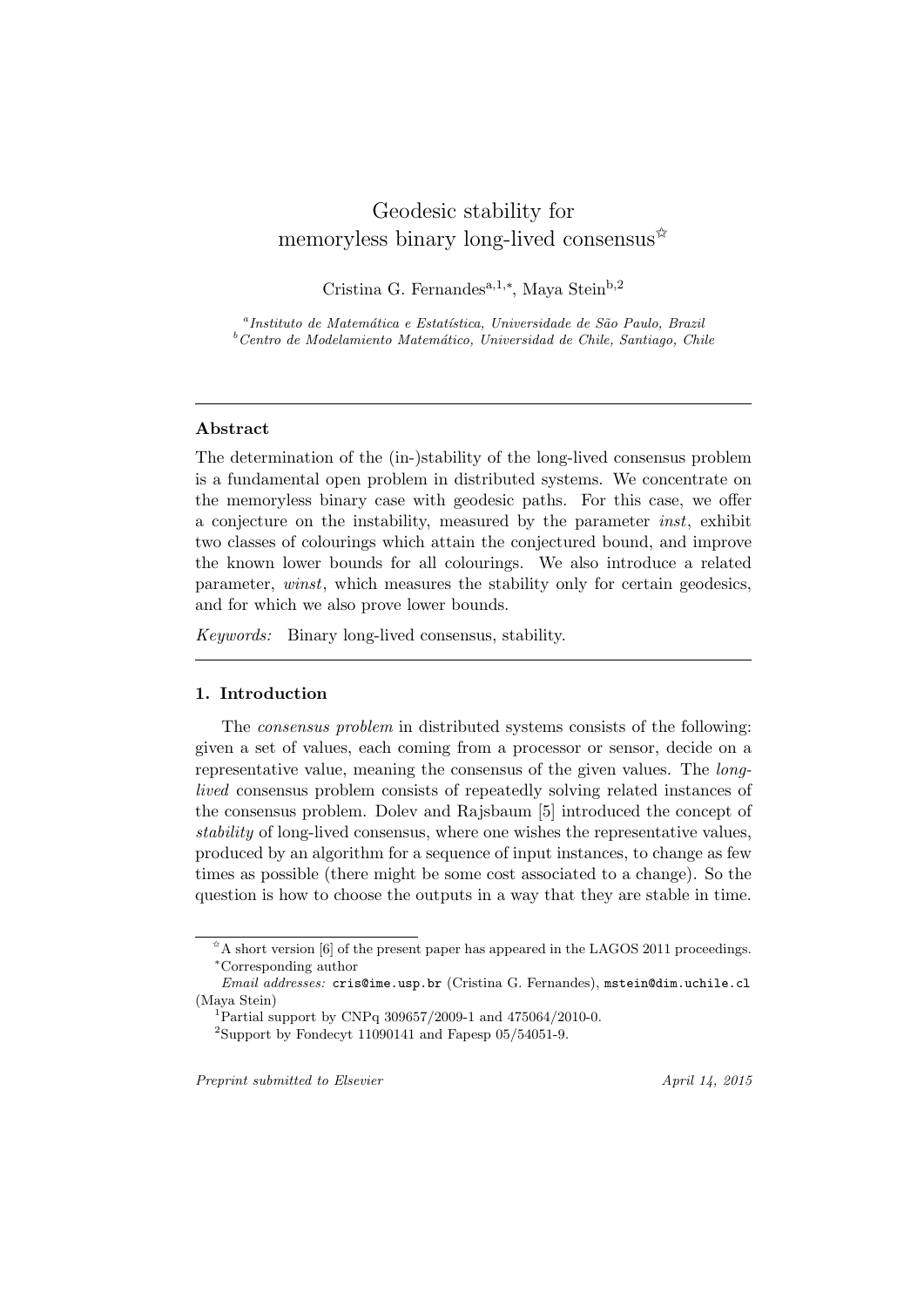# Geodesic stability for memoryless binary long-lived consensus  $\mathbb{R}^2$

Cristina G. Fernandesa,1,*<sup>∗</sup>* , Maya Steinb,2

<sup>a</sup> Instituto de Matemática e Estatística, Universidade de São Paulo, Brazil *<sup>b</sup>Centro de Modelamiento Matem´atico, Universidad de Chile, Santiago, Chile*

# **Abstract**

The determination of the (in-)stability of the long-lived consensus problem is a fundamental open problem in distributed systems. We concentrate on the memoryless binary case with geodesic paths. For this case, we offer a conjecture on the instability, measured by the parameter *inst*, exhibit two classes of colourings which attain the conjectured bound, and improve the known lower bounds for all colourings. We also introduce a related parameter, *winst*, which measures the stability only for certain geodesics, and for which we also prove lower bounds.

*Keywords:* Binary long-lived consensus, stability.

## **1. Introduction**

The *consensus problem* in distributed systems consists of the following: given a set of values, each coming from a processor or sensor, decide on a representative value, meaning the consensus of the given values. The *longlived* consensus problem consists of repeatedly solving related instances of the consensus problem. Dolev and Rajsbaum [5] introduced the concept of *stability* of long-lived consensus, where one wishes the representative values, produced by an algorithm for a sequence of input instances, to change as few times as possible (there might be some cost associated to a change). So the question is how to choose the outputs in a way that they are stable in time.

*Preprint submitted to Elsevier April 14, 2015*

 $A \triangle A$  short version [6] of the present paper has appeared in the LAGOS 2011 proceedings. *<sup>∗</sup>*Corresponding author

*Email addresses:* cris@ime.usp.br (Cristina G. Fernandes), mstein@dim.uchile.cl (Maya Stein)

<sup>1</sup>Partial support by CNPq 309657/2009-1 and 475064/2010-0.

<sup>&</sup>lt;sup>2</sup>Support by Fondecyt 11090141 and Fapesp  $05/54051$ -9.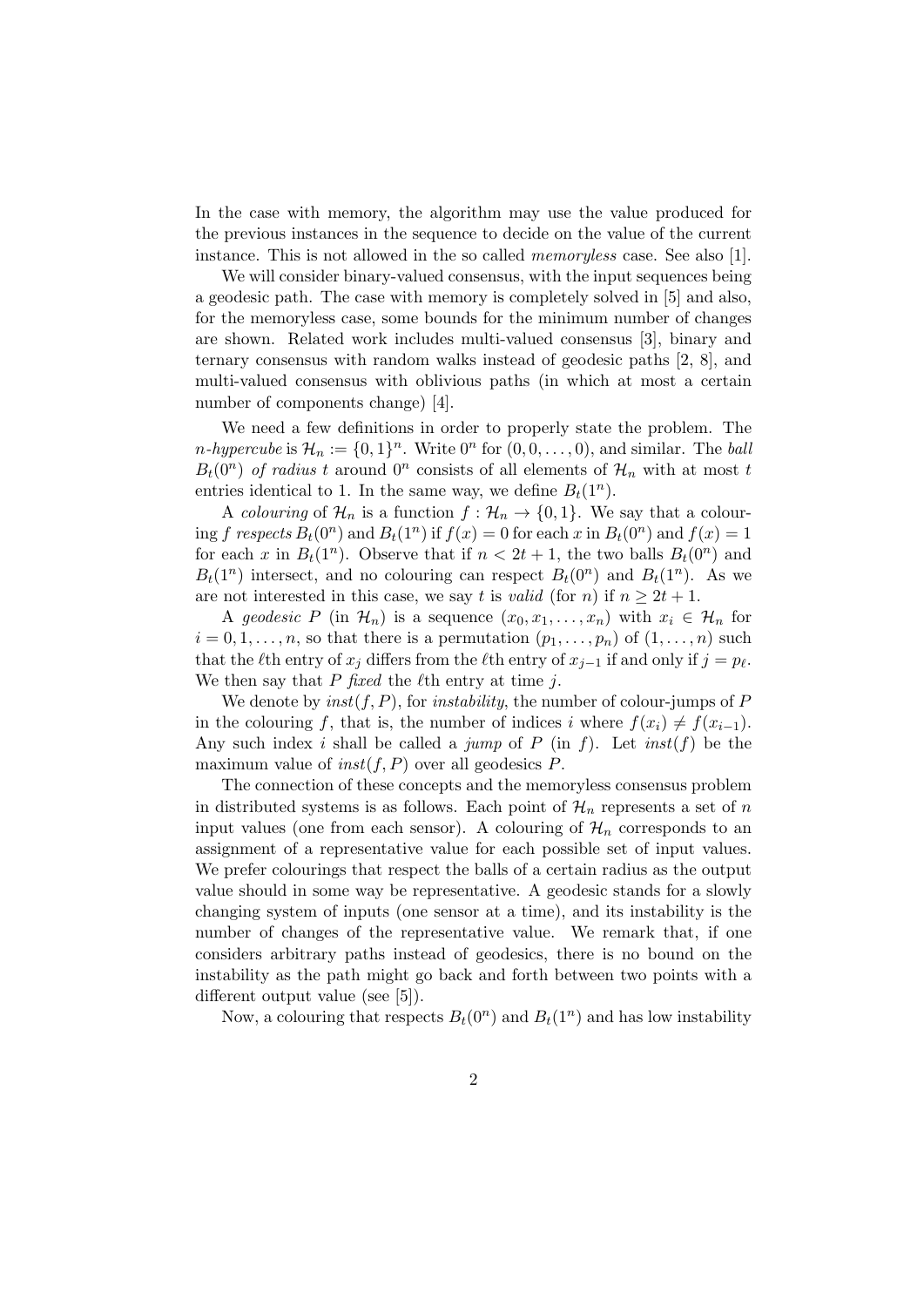In the case with memory, the algorithm may use the value produced for the previous instances in the sequence to decide on the value of the current instance. This is not allowed in the so called *memoryless* case. See also [1].

We will consider binary-valued consensus, with the input sequences being a geodesic path. The case with memory is completely solved in [5] and also, for the memoryless case, some bounds for the minimum number of changes are shown. Related work includes multi-valued consensus [3], binary and ternary consensus with random walks instead of geodesic paths [2, 8], and multi-valued consensus with oblivious paths (in which at most a certain number of components change) [4].

We need a few definitions in order to properly state the problem. The *n*-*hypercube* is  $\mathcal{H}_n := \{0, 1\}^n$ . Write  $0^n$  for  $(0, 0, \ldots, 0)$ , and similar. The *ball*  $B_t(0^n)$  *of radius t* around  $0^n$  consists of all elements of  $\mathcal{H}_n$  with at most *t* entries identical to 1. In the same way, we define  $B_t(1^n)$ .

A *colouring* of  $\mathcal{H}_n$  is a function  $f: \mathcal{H}_n \to \{0,1\}$ . We say that a colouring *f* respects  $B_t(0^n)$  and  $B_t(1^n)$  if  $f(x) = 0$  for each  $x$  in  $B_t(0^n)$  and  $f(x) = 1$ for each *x* in  $B_t(1^n)$ . Observe that if  $n < 2t + 1$ , the two balls  $B_t(0^n)$  and  $B_t(1^n)$  intersect, and no colouring can respect  $B_t(0^n)$  and  $B_t(1^n)$ . As we are not interested in this case, we say *t* is *valid* (for *n*) if  $n \geq 2t + 1$ .

A geodesic P (in  $\mathcal{H}_n$ ) is a sequence  $(x_0, x_1, \ldots, x_n)$  with  $x_i \in \mathcal{H}_n$  for  $i = 0, 1, \ldots, n$ , so that there is a permutation  $(p_1, \ldots, p_n)$  of  $(1, \ldots, n)$  such that the  $\ell$ th entry of  $x_j$  differs from the  $\ell$ th entry of  $x_{j-1}$  if and only if  $j = p_\ell$ . We then say that *P fixed* the *ℓ*th entry at time *j*.

We denote by  $inst(f, P)$ , for *instability*, the number of colour-jumps of  $P$ in the colouring *f*, that is, the number of indices *i* where  $f(x_i) \neq f(x_{i-1})$ . Any such index *i* shall be called a *jump* of *P* (in *f*). Let *inst*(*f*) be the maximum value of *inst*(*f, P*) over all geodesics *P*.

The connection of these concepts and the memoryless consensus problem in distributed systems is as follows. Each point of  $\mathcal{H}_n$  represents a set of *n* input values (one from each sensor). A colouring of  $\mathcal{H}_n$  corresponds to an assignment of a representative value for each possible set of input values. We prefer colourings that respect the balls of a certain radius as the output value should in some way be representative. A geodesic stands for a slowly changing system of inputs (one sensor at a time), and its instability is the number of changes of the representative value. We remark that, if one considers arbitrary paths instead of geodesics, there is no bound on the instability as the path might go back and forth between two points with a different output value (see [5]).

Now, a colouring that respects  $B_t(0^n)$  and  $B_t(1^n)$  and has low instability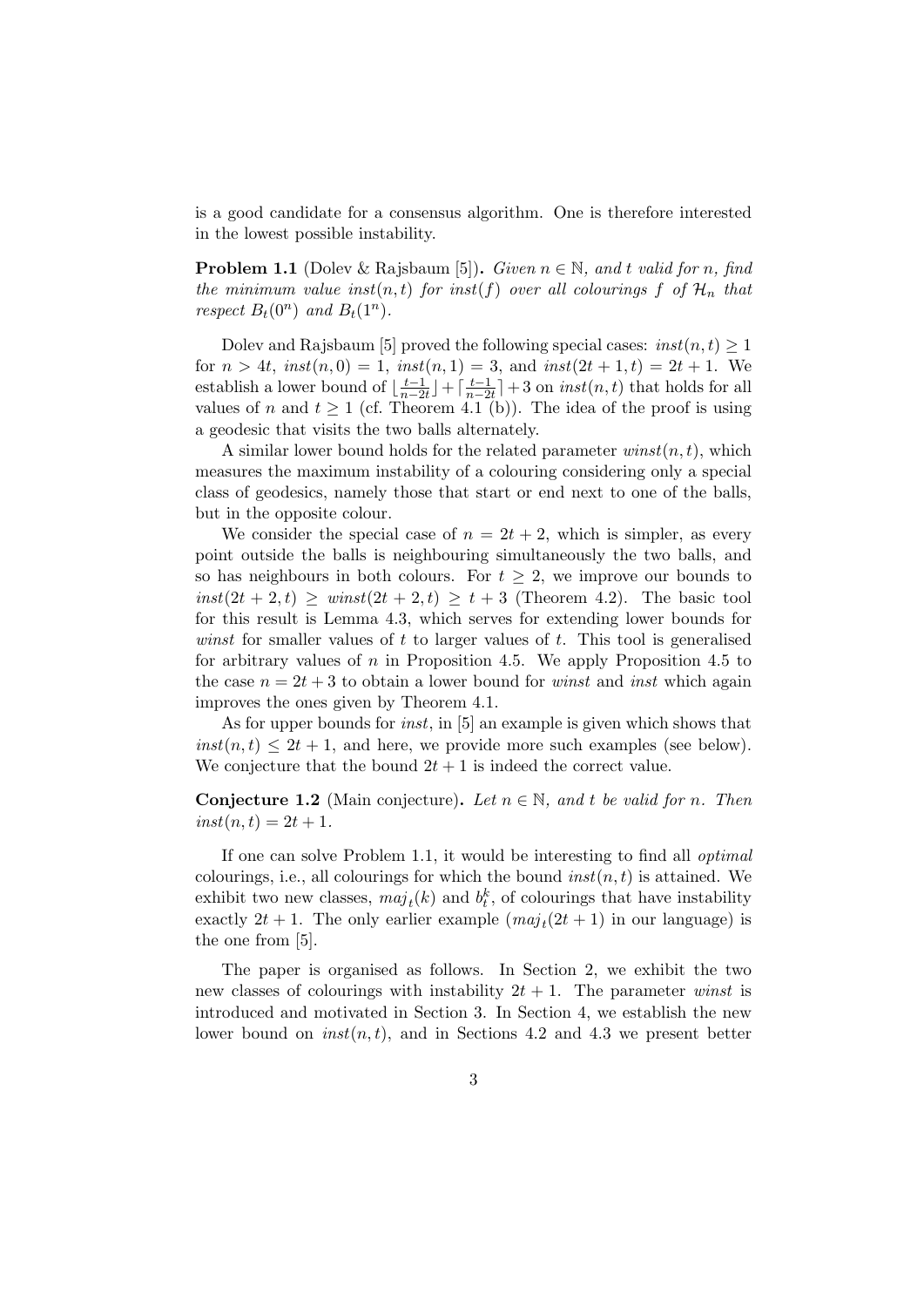is a good candidate for a consensus algorithm. One is therefore interested in the lowest possible instability.

**Problem 1.1** (Dolev & Rajsbaum [5]). *Given*  $n \in \mathbb{N}$ *, and t valid for n, find the minimum value inst* $(n, t)$  *for inst* $(f)$  *over all colourings*  $f$  *of*  $H_n$  *that respect*  $B_t(0^n)$  *and*  $B_t(1^n)$ *.* 

Dolev and Rajsbaum [5] proved the following special cases:  $inst(n, t) \geq 1$ for  $n > 4t$ ,  $inst(n, 0) = 1$ ,  $inst(n, 1) = 3$ , and  $inst(2t + 1, t) = 2t + 1$ . We establish a lower bound of  $\left\lfloor \frac{t-1}{n-2} \right\rfloor$  $\left[\frac{t-1}{n-2t}\right]$  +  $\left[\frac{t-1}{n-2t}\right]$  $\frac{t-1}{n-2t}$  + 3 on *inst*(*n, t*) that holds for all values of *n* and  $t \ge 1$  (cf. Theorem 4.1 (b)). The idea of the proof is using a geodesic that visits the two balls alternately.

A similar lower bound holds for the related parameter *winst*(*n, t*), which measures the maximum instability of a colouring considering only a special class of geodesics, namely those that start or end next to one of the balls, but in the opposite colour.

We consider the special case of  $n = 2t + 2$ , which is simpler, as every point outside the balls is neighbouring simultaneously the two balls, and so has neighbours in both colours. For  $t \geq 2$ , we improve our bounds to  $inst(2t + 2, t) \geq winst(2t + 2, t) \geq t + 3$  (Theorem 4.2). The basic tool for this result is Lemma 4.3, which serves for extending lower bounds for *winst* for smaller values of *t* to larger values of *t*. This tool is generalised for arbitrary values of *n* in Proposition 4.5. We apply Proposition 4.5 to the case  $n = 2t + 3$  to obtain a lower bound for *winst* and *inst* which again improves the ones given by Theorem 4.1.

As for upper bounds for *inst*, in [5] an example is given which shows that  $inst(n, t) \leq 2t + 1$ , and here, we provide more such examples (see below). We conjecture that the bound  $2t + 1$  is indeed the correct value.

**Conjecture 1.2** (Main conjecture). Let  $n \in \mathbb{N}$ , and t be valid for *n*. Then  $inst(n, t) = 2t + 1.$ 

If one can solve Problem 1.1, it would be interesting to find all *optimal* colourings, i.e., all colourings for which the bound  $inst(n, t)$  is attained. We exhibit two new classes,  $maj_t(k)$  and  $b_t^k$ , of colourings that have instability exactly  $2t + 1$ . The only earlier example  $(maj_t(2t + 1)$  in our language) is the one from [5].

The paper is organised as follows. In Section 2, we exhibit the two new classes of colourings with instability  $2t + 1$ . The parameter *winst* is introduced and motivated in Section 3. In Section 4, we establish the new lower bound on  $inst(n, t)$ , and in Sections 4.2 and 4.3 we present better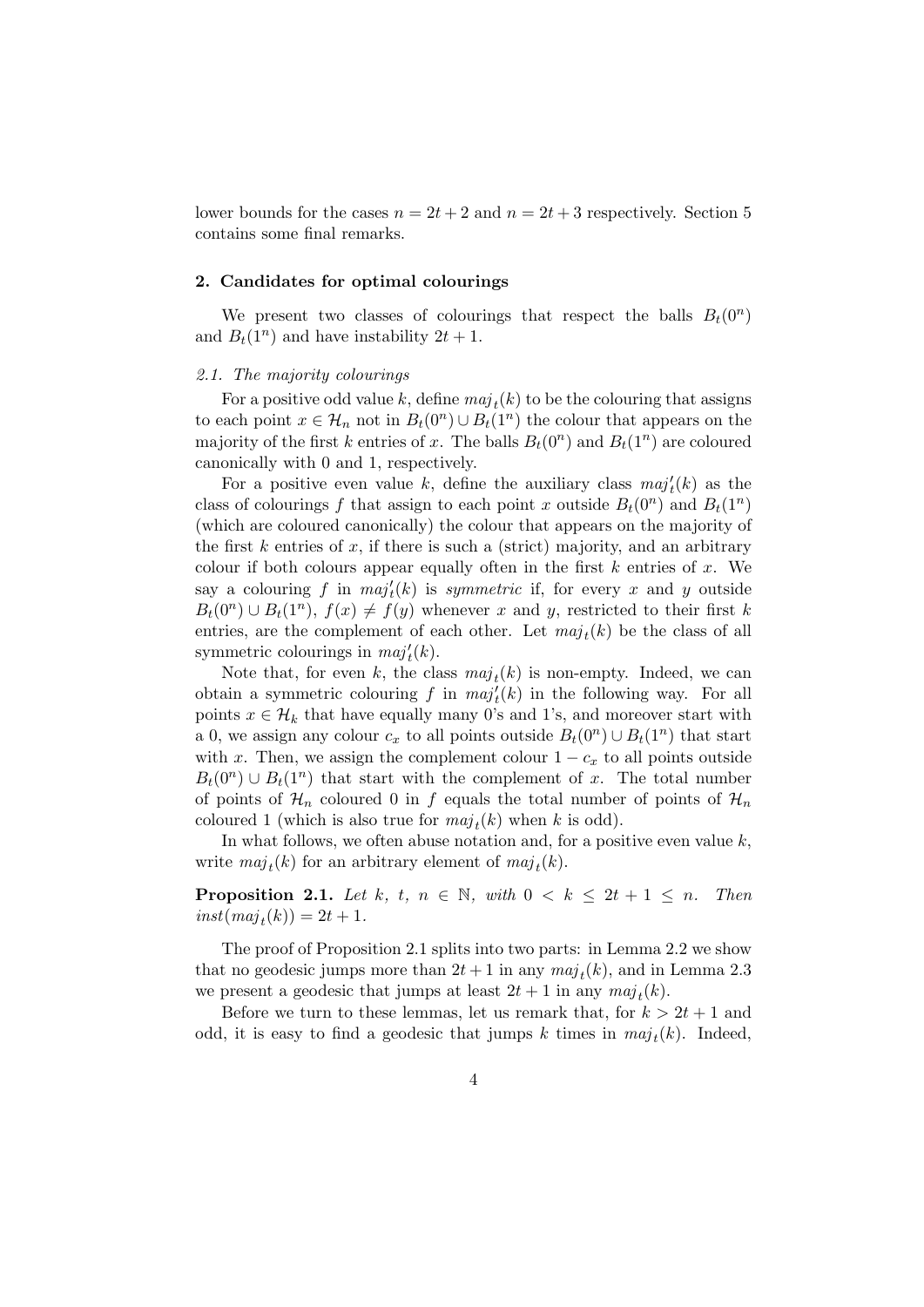lower bounds for the cases  $n = 2t + 2$  and  $n = 2t + 3$  respectively. Section 5 contains some final remarks.

#### **2. Candidates for optimal colourings**

We present two classes of colourings that respect the balls  $B_t(0^n)$ and  $B_t(1^n)$  and have instability  $2t + 1$ .

### *2.1. The majority colourings*

For a positive odd value  $k$ , define  $maj_t(k)$  to be the colouring that assigns to each point  $x \in \mathcal{H}_n$  not in  $B_t(0^n) \cup B_t(1^n)$  the colour that appears on the majority of the first *k* entries of *x*. The balls  $B_t(0^n)$  and  $B_t(1^n)$  are coloured canonically with 0 and 1, respectively.

For a positive even value *k*, define the auxiliary class  $maj'_{t}(k)$  as the class of colourings f that assign to each point x outside  $B_t(0^n)$  and  $B_t(1^n)$ (which are coloured canonically) the colour that appears on the majority of the first *k* entries of *x*, if there is such a (strict) majority, and an arbitrary colour if both colours appear equally often in the first *k* entries of *x*. We say a colouring  $f$  in  $maj'_{t}(k)$  is *symmetric* if, for every  $x$  and  $y$  outside  $B_t(0^n) \cup B_t(1^n)$ ,  $f(x) \neq f(y)$  whenever *x* and *y*, restricted to their first *k* entries, are the complement of each other. Let  $maj_t(k)$  be the class of all symmetric colourings in  $maj'_{t}(k)$ .

Note that, for even *k*, the class  $maj_t(k)$  is non-empty. Indeed, we can obtain a symmetric colouring  $f$  in  $maj'_{t}(k)$  in the following way. For all points  $x \in \mathcal{H}_k$  that have equally many 0's and 1's, and moreover start with a 0, we assign any colour  $c_x$  to all points outside  $B_t(0^n) \cup B_t(1^n)$  that start with *x*. Then, we assign the complement colour  $1 - c_x$  to all points outside  $B_t(0^n) \cup B_t(1^n)$  that start with the complement of *x*. The total number of points of  $\mathcal{H}_n$  coloured 0 in f equals the total number of points of  $\mathcal{H}_n$ coloured 1 (which is also true for  $maj_t(k)$  when *k* is odd).

In what follows, we often abuse notation and, for a positive even value *k*, write  $maj_t(k)$  for an arbitrary element of  $maj_t(k)$ .

**Proposition 2.1.** *Let*  $k$ *,*  $t$ *,*  $n \in \mathbb{N}$ *, with*  $0 \lt k \leq 2t + 1 \leq n$ *. Then*  $inst(maj_t(k)) = 2t + 1.$ 

The proof of Proposition 2.1 splits into two parts: in Lemma 2.2 we show that no geodesic jumps more than  $2t + 1$  in any  $maj_t(k)$ , and in Lemma 2.3 we present a geodesic that jumps at least  $2t + 1$  in any  $maj_t(k)$ .

Before we turn to these lemmas, let us remark that, for  $k > 2t + 1$  and odd, it is easy to find a geodesic that jumps  $k$  times in  $maj_t(k)$ . Indeed,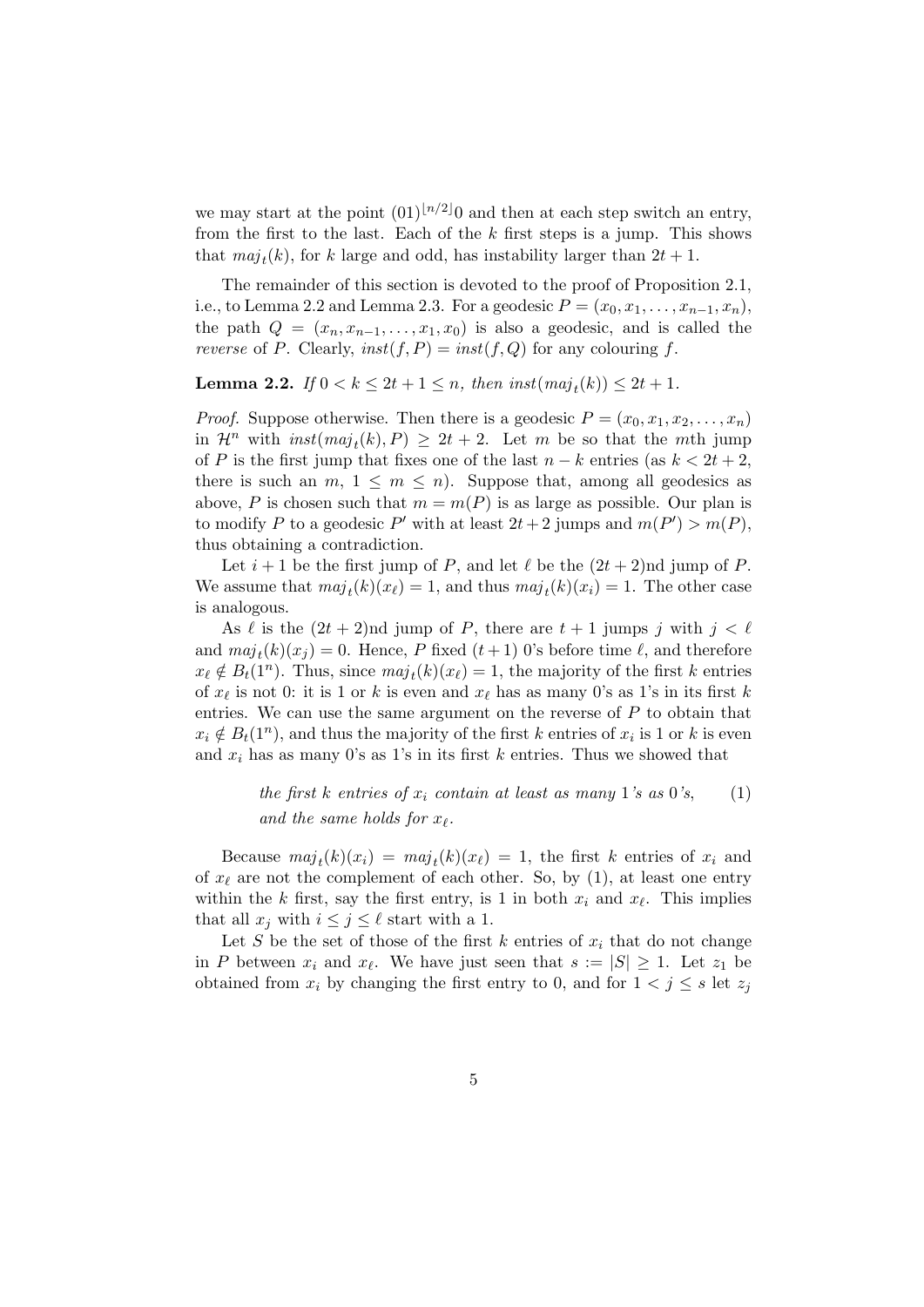we may start at the point  $(01)^{\lfloor n/2 \rfloor}$  and then at each step switch an entry, from the first to the last. Each of the *k* first steps is a jump. This shows that  $maj_t(k)$ , for *k* large and odd, has instability larger than  $2t + 1$ .

The remainder of this section is devoted to the proof of Proposition 2.1, i.e., to Lemma 2.2 and Lemma 2.3. For a geodesic  $P = (x_0, x_1, \ldots, x_{n-1}, x_n)$ , the path  $Q = (x_n, x_{n-1}, \ldots, x_1, x_0)$  is also a geodesic, and is called the *reverse* of *P*. Clearly,  $inst(f, P) = inst(f, Q)$  for any colouring *f*.

**Lemma 2.2.** *If*  $0 < k \leq 2t + 1 \leq n$ *, then inst* $(maj_t(k)) \leq 2t + 1$ *.* 

*Proof.* Suppose otherwise. Then there is a geodesic  $P = (x_0, x_1, x_2, \ldots, x_n)$ in  $\mathcal{H}^n$  with  $inst(maj_t(k), P) \geq 2t + 2$ . Let *m* be so that the *m*th jump of *P* is the first jump that fixes one of the last  $n-k$  entries (as  $k < 2t + 2$ , there is such an  $m, 1 \leq m \leq n$ . Suppose that, among all geodesics as above, *P* is chosen such that  $m = m(P)$  is as large as possible. Our plan is to modify P to a geodesic P' with at least  $2t + 2$  jumps and  $m(P') > m(P)$ , thus obtaining a contradiction.

Let  $i+1$  be the first jump of *P*, and let  $\ell$  be the  $(2t+2)$ nd jump of *P*. We assume that  $maj_t(k)(x_\ell) = 1$ , and thus  $maj_t(k)(x_i) = 1$ . The other case is analogous.

As  $\ell$  is the  $(2t + 2)$ nd jump of *P*, there are  $t + 1$  jumps *j* with  $j < \ell$ and  $maj_t(k)(x_j) = 0$ . Hence, *P* fixed  $(t+1)$  0's before time  $\ell$ , and therefore  $x_{\ell} \notin B_t(1^n)$ . Thus, since  $maj_t(k)(x_{\ell}) = 1$ , the majority of the first *k* entries of  $x_\ell$  is not 0: it is 1 or  $k$  is even and  $x_\ell$  has as many 0's as 1's in its first  $k$ entries. We can use the same argument on the reverse of *P* to obtain that  $x_i \notin B_t(1^n)$ , and thus the majority of the first *k* entries of  $x_i$  is 1 or *k* is even and  $x_i$  has as many 0's as 1's in its first  $k$  entries. Thus we showed that

> *the first k entries of*  $x_i$  *contain at least as many* 1*'s as* 0*'s*, (1) *and the same holds for*  $x_{\ell}$ *.*

Because  $maj_t(k)(x_i) = maj_t(k)(x_\ell) = 1$ , the first *k* entries of  $x_i$  and of  $x_\ell$  are not the complement of each other. So, by (1), at least one entry within the *k* first, say the first entry, is 1 in both  $x_i$  and  $x_\ell$ . This implies that all  $x_j$  with  $i \leq j \leq \ell$  start with a 1.

Let *S* be the set of those of the first  $k$  entries of  $x_i$  that do not change in *P* between  $x_i$  and  $x_\ell$ . We have just seen that  $s := |S| \geq 1$ . Let  $z_1$  be obtained from  $x_i$  by changing the first entry to 0, and for  $1 < j \leq s$  let  $z_j$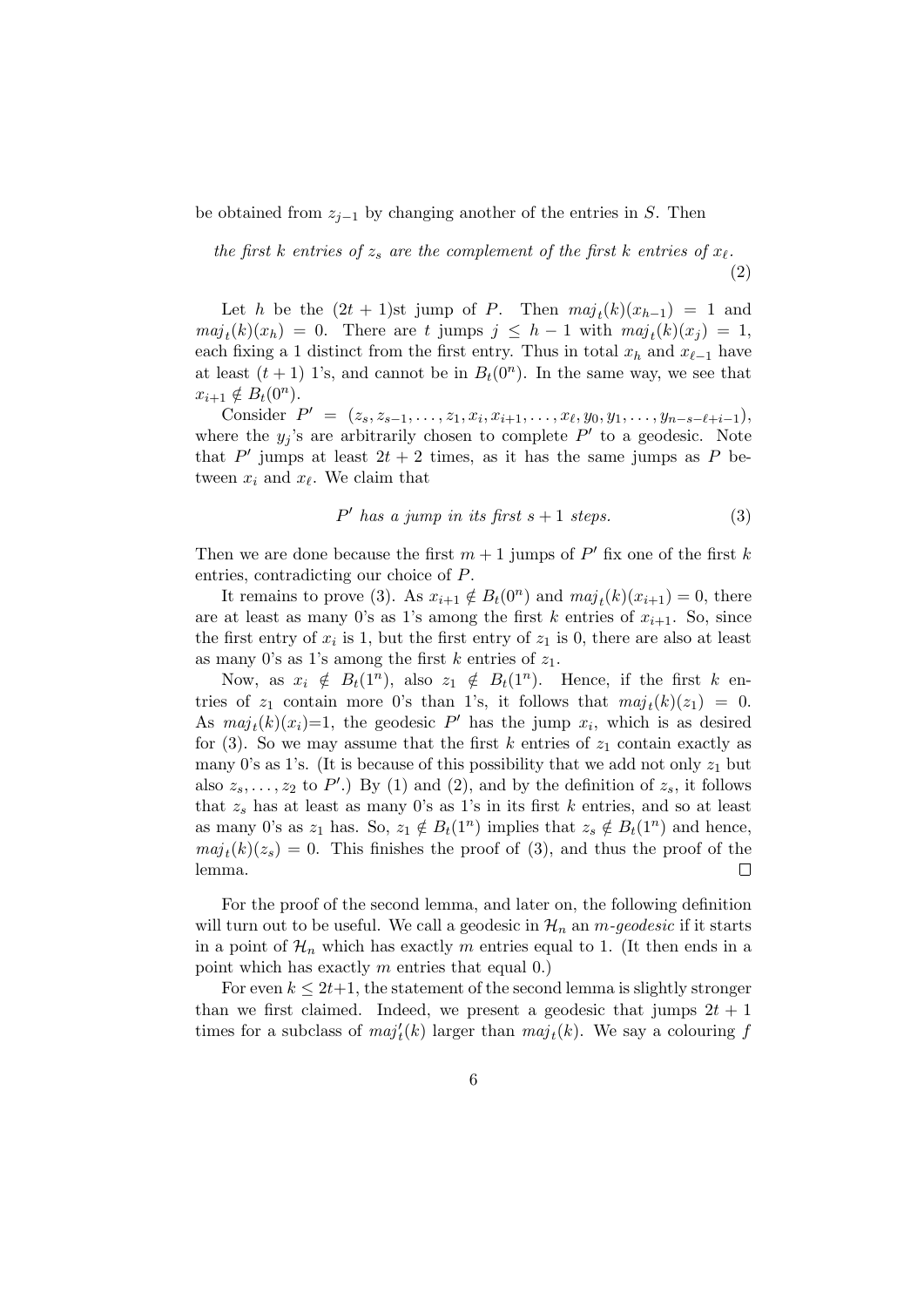be obtained from *zj−*<sup>1</sup> by changing another of the entries in *S*. Then

*the first k entries of*  $z_s$  *are the complement of the first k entries of*  $x_\ell$ .

(2)

Let *h* be the  $(2t + 1)$ st jump of *P*. Then  $maj_t(k)(x_{h-1}) = 1$  and  $maj_t(k)(x_h) = 0$ . There are *t* jumps  $j \leq h - 1$  with  $maj_t(k)(x_j) = 1$ , each fixing a 1 distinct from the first entry. Thus in total  $x_h$  and  $x_{\ell-1}$  have at least  $(t + 1)$  1's, and cannot be in  $B_t(0^n)$ . In the same way, we see that  $x_{i+1} \notin B_t(0^n)$ .

Consider  $P' = (z_s, z_{s-1}, \ldots, z_1, x_i, x_{i+1}, \ldots, x_\ell, y_0, y_1, \ldots, y_{n-s-\ell+i-1}),$ where the  $y_j$ 's are arbitrarily chosen to complete  $P'$  to a geodesic. Note that  $P'$  jumps at least  $2t + 2$  times, as it has the same jumps as  $P$  between  $x_i$  and  $x_\ell$ . We claim that

$$
P' \text{ has a jump in its first } s+1 \text{ steps.} \tag{3}
$$

Then we are done because the first  $m+1$  jumps of  $P'$  fix one of the first k entries, contradicting our choice of *P*.

It remains to prove (3). As  $x_{i+1} \notin B_t(0^n)$  and  $maj_t(k)(x_{i+1}) = 0$ , there are at least as many 0's as 1's among the first  $k$  entries of  $x_{i+1}$ . So, since the first entry of  $x_i$  is 1, but the first entry of  $z_1$  is 0, there are also at least as many 0's as 1's among the first *k* entries of *z*1.

Now, as  $x_i \notin B_t(1^n)$ , also  $z_1 \notin B_t(1^n)$ . Hence, if the first *k* entries of  $z_1$  contain more 0's than 1's, it follows that  $maj_t(k)(z_1) = 0$ . As  $maj_t(k)(x_i)=1$ , the geodesic  $P'$  has the jump  $x_i$ , which is as desired for (3). So we may assume that the first  $k$  entries of  $z_1$  contain exactly as many 0's as 1's. (It is because of this possibility that we add not only  $z_1$  but also  $z_s, \ldots, z_2$  to  $P'$ .) By (1) and (2), and by the definition of  $z_s$ , it follows that  $z_s$  has at least as many 0's as 1's in its first  $k$  entries, and so at least as many 0's as  $z_1$  has. So,  $z_1 \notin B_t(1^n)$  implies that  $z_s \notin B_t(1^n)$  and hence,  $maj_t(k)(z_s) = 0$ . This finishes the proof of (3), and thus the proof of the lemma.  $\Box$ 

For the proof of the second lemma, and later on, the following definition will turn out to be useful. We call a geodesic in  $\mathcal{H}_n$  an *m*-geodesic if it starts in a point of  $\mathcal{H}_n$  which has exactly *m* entries equal to 1. (It then ends in a point which has exactly *m* entries that equal 0.)

For even  $k \leq 2t+1$ , the statement of the second lemma is slightly stronger than we first claimed. Indeed, we present a geodesic that jumps  $2t + 1$ times for a subclass of  $maj'_{t}(k)$  larger than  $maj_{t}(k)$ . We say a colouring  $f$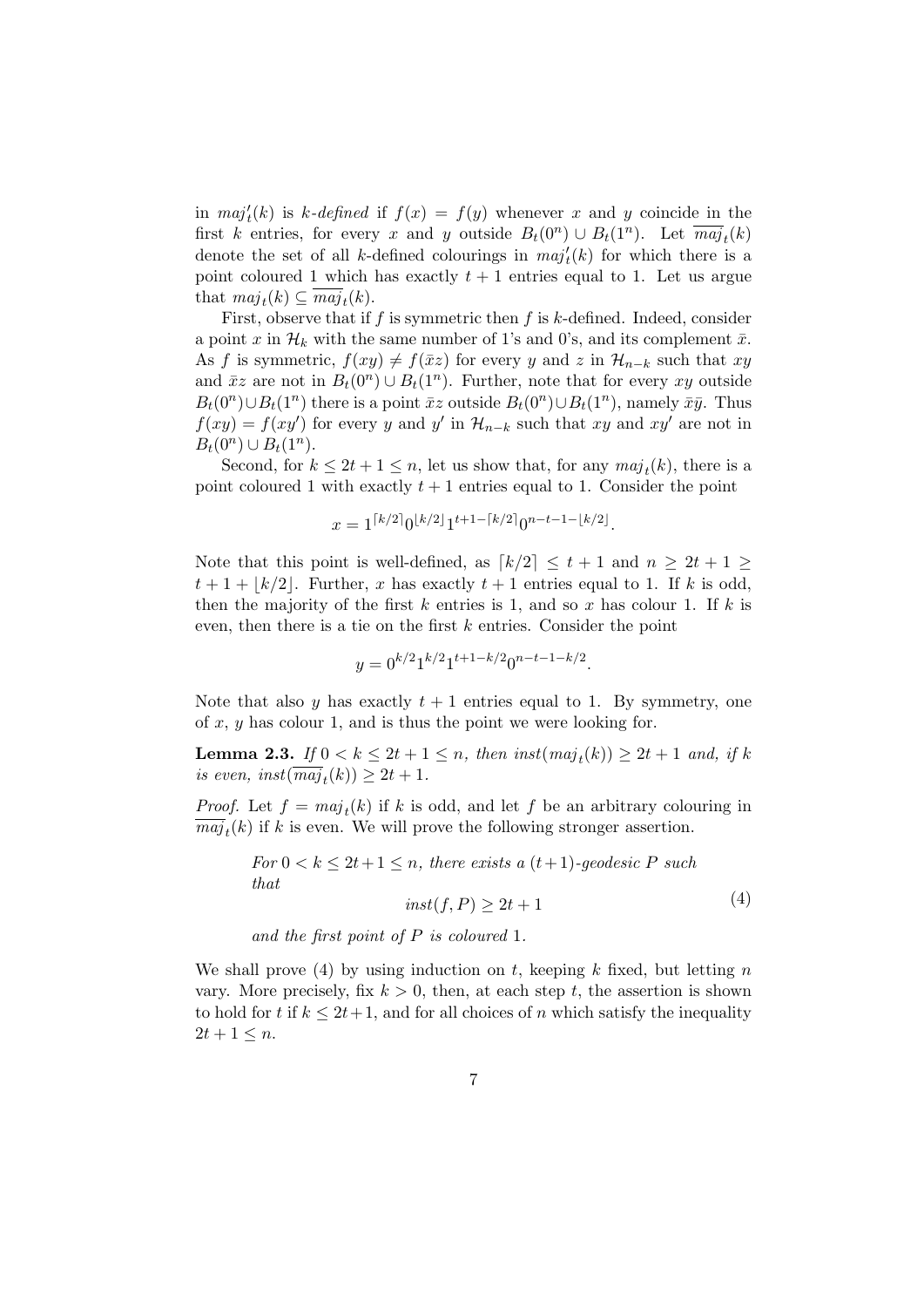in  $maj<sup>t</sup>(k)$  is *k-defined* if  $f(x) = f(y)$  whenever *x* and *y* coincide in the first *k* entries, for every *x* and *y* outside  $B_t(0^n) \cup B_t(1^n)$ . Let  $\overline{maj}_t(k)$ denote the set of all *k*-defined colourings in  $maj'_{t}(k)$  for which there is a point coloured 1 which has exactly  $t + 1$  entries equal to 1. Let us argue that  $maj_t(k) \subseteq \overline{maj}_t(k)$ .

First, observe that if *f* is symmetric then *f* is *k*-defined. Indeed, consider a point x in  $\mathcal{H}_k$  with the same number of 1's and 0's, and its complement  $\bar{x}$ . As *f* is symmetric,  $f(xy) \neq f(\bar{x}z)$  for every *y* and *z* in  $\mathcal{H}_{n-k}$  such that *xy* and  $\bar{x}z$  are not in  $B_t(0^n) \cup B_t(1^n)$ . Further, note that for every  $xy$  outside  $B_t(0^n) \cup B_t(1^n)$  there is a point  $\bar{x}z$  outside  $B_t(0^n) \cup B_t(1^n)$ , namely  $\bar{x}\bar{y}$ . Thus  $f(xy) = f(xy')$  for every *y* and *y'* in  $\mathcal{H}_{n-k}$  such that *xy* and *xy'* are not in  $B_t(0^n) \cup B_t(1^n).$ 

Second, for  $k \leq 2t + 1 \leq n$ , let us show that, for any  $maj_t(k)$ , there is a point coloured 1 with exactly  $t + 1$  entries equal to 1. Consider the point

$$
x = 1^{\lceil k/2 \rceil} 0^{\lfloor k/2 \rfloor} 1^{t+1-\lceil k/2 \rceil} 0^{n-t-1-\lfloor k/2 \rfloor}.
$$

Note that this point is well-defined, as  $\lceil k/2 \rceil \leq t+1$  and  $n \geq 2t+1 \geq$  $t+1+|k/2|$ . Further, *x* has exactly  $t+1$  entries equal to 1. If *k* is odd, then the majority of the first *k* entries is 1, and so *x* has colour 1. If *k* is even, then there is a tie on the first *k* entries. Consider the point

$$
y = 0^{k/2} 1^{k/2} 1^{t+1-k/2} 0^{n-t-1-k/2}.
$$

Note that also  $y$  has exactly  $t + 1$  entries equal to 1. By symmetry, one of *x*, *y* has colour 1, and is thus the point we were looking for.

**Lemma 2.3.** *If*  $0 < k \leq 2t + 1 \leq n$ , *then inst* $(maj_t(k)) \geq 2t + 1$  *and, if k*  $is$   $even, \; inst(\overline{maj}_t(k)) \geq 2t + 1.$ 

*Proof.* Let  $f = maj_t(k)$  if *k* is odd, and let *f* be an arbitrary colouring in  $maj_t(k)$  if *k* is even. We will prove the following stronger assertion.

For 
$$
0 < k \leq 2t + 1 \leq n
$$
, there exists a  $(t+1)$ -geodesic P such  
that  

$$
inst(f, P) \geq 2t + 1
$$
 (4)

*and the first point of P is coloured* 1*.*

We shall prove (4) by using induction on *t*, keeping *k* fixed, but letting *n* vary. More precisely, fix  $k > 0$ , then, at each step  $t$ , the assertion is shown to hold for *t* if  $k \leq 2t + 1$ , and for all choices of *n* which satisfy the inequality  $2t + 1 \leq n$ .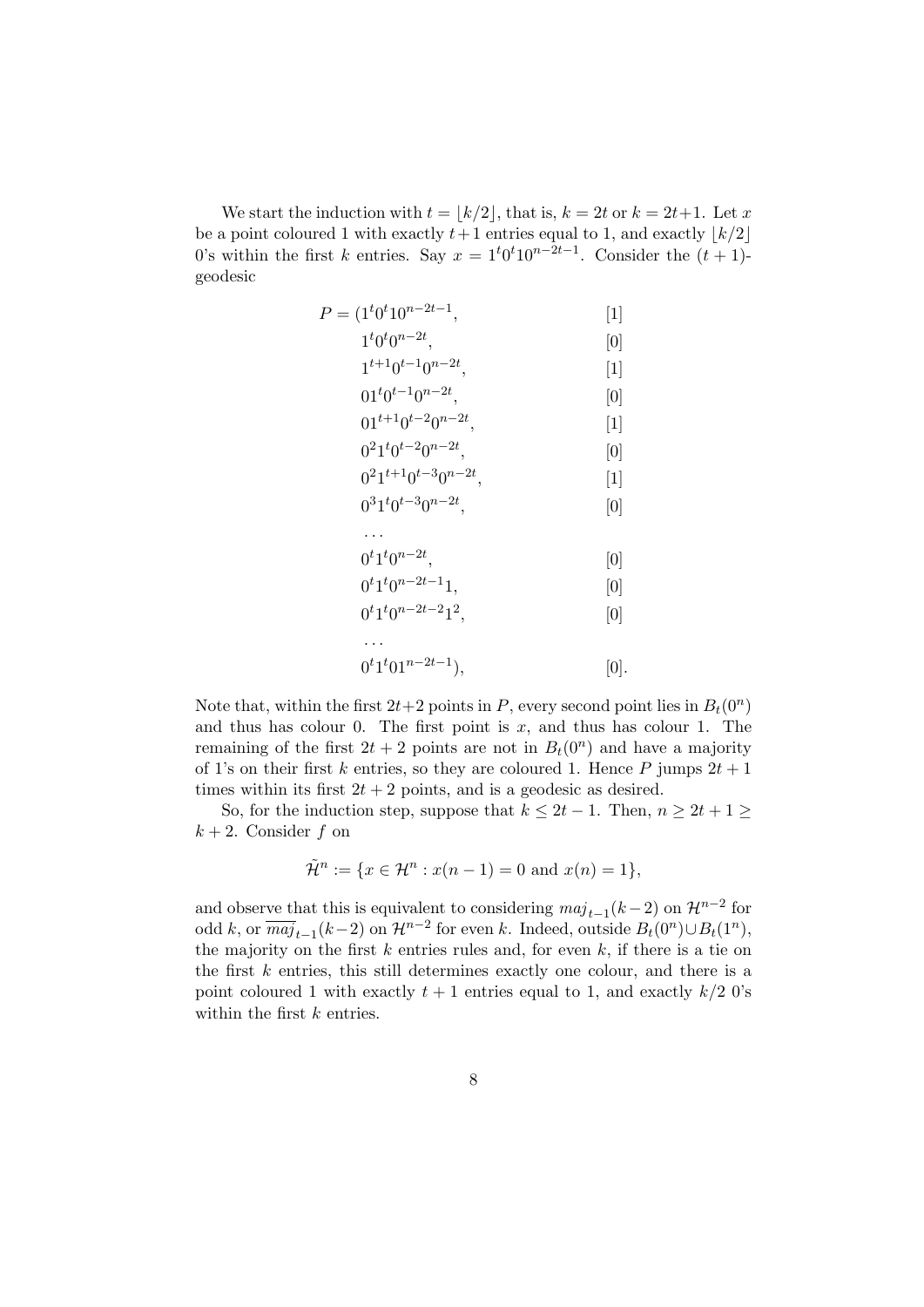We start the induction with  $t = |k/2|$ , that is,  $k = 2t$  or  $k = 2t+1$ . Let x be a point coloured 1 with exactly  $t+1$  entries equal to 1, and exactly  $|k/2|$ 0's within the first *k* entries. Say  $x = 1<sup>t</sup>0<sup>t</sup>10<sup>n-2t-1</sup>$ . Consider the  $(t + 1)$ geodesic

$$
P = (1t0t10n-2t-1, [1]\n1t0t0n-2t, [0]\n1t+10t-10n-2t, [1]\n01t0t-10n-2t, [0]\n01t+10t-20n-2t, [1]\n021t0t-20n-2t, [0]\n021t+10t-30n-2t, [1]\n031t0t-30n-2t, [0]\n...\n0t1t0n-2t, [0]\n0t1t0n-2t-11, [0]\n0t1t0n-2t-212, [0]\n...\n0t1t01n-2t-1), [0].
$$

Note that, within the first  $2t+2$  points in *P*, every second point lies in  $B_t(0^n)$ and thus has colour 0. The first point is *x*, and thus has colour 1. The remaining of the first  $2t + 2$  points are not in  $B_t(0^n)$  and have a majority of 1's on their first *k* entries, so they are coloured 1. Hence *P* jumps  $2t + 1$ times within its first  $2t + 2$  points, and is a geodesic as desired.

So, for the induction step, suppose that  $k \leq 2t - 1$ . Then,  $n \geq 2t + 1 \geq 2$  $k + 2$ . Consider  $f$  on

$$
\tilde{\mathcal{H}}^n := \{ x \in \mathcal{H}^n : x(n-1) = 0 \text{ and } x(n) = 1 \},
$$

and observe that this is equivalent to considering  $maj_{t-1}(k-2)$  on  $\mathcal{H}^{n-2}$  for odd *k*, or  $\overline{maj}_{t-1}(k-2)$  on  $\mathcal{H}^{n-2}$  for even *k*. Indeed, outside  $B_t(0^n) \cup B_t(1^n)$ , the majority on the first *k* entries rules and, for even *k*, if there is a tie on the first *k* entries, this still determines exactly one colour, and there is a point coloured 1 with exactly  $t + 1$  entries equal to 1, and exactly  $k/2$  0's within the first *k* entries.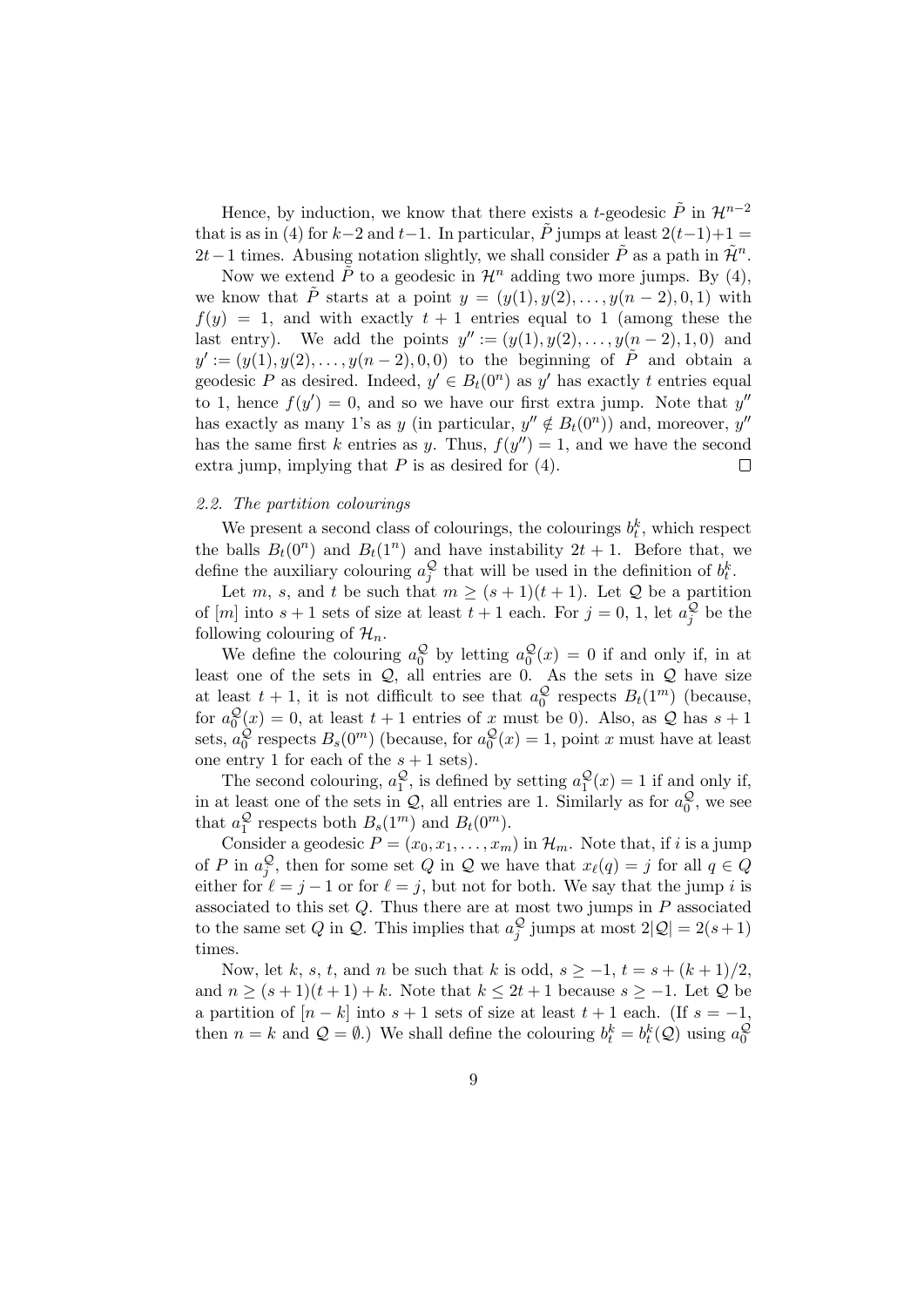Hence, by induction, we know that there exists a *t*-geodesic  $\tilde{P}$  in  $\mathcal{H}^{n-2}$ that is as in (4) for  $k-2$  and  $t-1$ . In particular,  $\tilde{P}$  jumps at least  $2(t-1)+1=$ 2*t* − 1 times. Abusing notation slightly, we shall consider  $\tilde{P}$  as a path in  $\tilde{\mathcal{H}}^n$ .

Now we extend  $\tilde{P}$  to a geodesic in  $\mathcal{H}^n$  adding two more jumps. By (4), we know that  $\tilde{P}$  starts at a point  $y = (y(1), y(2), \ldots, y(n-2), 0, 1)$  with  $f(y) = 1$ , and with exactly  $t + 1$  entries equal to 1 (among these the last entry). We add the points  $y'' := (y(1), y(2), \ldots, y(n-2), 1, 0)$  and  $y' := (y(1), y(2), \ldots, y(n-2), 0, 0)$  to the beginning of  $\tilde{P}$  and obtain a geodesic *P* as desired. Indeed,  $y' \in B_t(0^n)$  as  $y'$  has exactly *t* entries equal to 1, hence  $f(y') = 0$ , and so we have our first extra jump. Note that  $y''$ has exactly as many 1's as *y* (in particular,  $y'' \notin B_t(0^n)$ ) and, moreover,  $y''$ has the same first *k* entries as *y*. Thus,  $f(y'') = 1$ , and we have the second extra jump, implying that  $P$  is as desired for  $(4)$ .  $\Box$ 

#### *2.2. The partition colourings*

We present a second class of colourings, the colourings  $b_t^k$ , which respect the balls  $B_t(0^n)$  and  $B_t(1^n)$  and have instability  $2t + 1$ . Before that, we define the auxiliary colouring  $a_j^{\mathcal{Q}}$  that will be used in the definition of  $b_t^k$ .

Let *m*, *s*, and *t* be such that  $m \geq (s+1)(t+1)$ . Let  $\mathcal Q$  be a partition of  $[m]$  into  $s + 1$  sets of size at least  $t + 1$  each. For  $j = 0, 1$ , let  $a_j^{\mathcal{Q}}$  be the following colouring of  $\mathcal{H}_n$ .

We define the colouring  $a_0^Q$  by letting  $a_0^Q(x) = 0$  if and only if, in at least one of the sets in *Q*, all entries are 0. As the sets in *Q* have size at least  $t + 1$ , it is not difficult to see that  $a_0^{\mathcal{Q}}$  respects  $B_t(1^m)$  (because, for  $a_0^Q(x) = 0$ , at least  $t + 1$  entries of x must be 0). Also, as Q has  $s + 1$ sets,  $a_0^{\mathcal{Q}}$  respects  $B_s(0^m)$  (because, for  $a_0^{\mathcal{Q}}(x) = 1$ , point *x* must have at least one entry 1 for each of the  $s + 1$  sets).

The second colouring,  $a_1^{\mathcal{Q}}$ , is defined by setting  $a_1^{\mathcal{Q}}(x) = 1$  if and only if, in at least one of the sets in  $Q$ , all entries are 1. Similarly as for  $a_0^Q$ , we see that  $a_1^{\mathcal{Q}}$  respects both  $B_s(1^m)$  and  $B_t(0^m)$ .

Consider a geodesic  $P = (x_0, x_1, \ldots, x_m)$  in  $\mathcal{H}_m$ . Note that, if *i* is a jump of *P* in  $a_j^Q$ , then for some set *Q* in *Q* we have that  $x_{\ell}(q) = j$  for all  $q \in Q$ either for  $\ell = j - 1$  or for  $\ell = j$ , but not for both. We say that the jump *i* is associated to this set *Q*. Thus there are at most two jumps in *P* associated to the same set *Q* in *Q*. This implies that  $a_j^{\mathcal{Q}}$  jumps at most  $2|\mathcal{Q}| = 2(s+1)$ times.

Now, let *k*, *s*, *t*, and *n* be such that *k* is odd,  $s \geq -1$ ,  $t = s + (k+1)/2$ , and  $n \geq (s+1)(t+1) + k$ . Note that  $k \leq 2t+1$  because  $s \geq -1$ . Let  $\mathcal Q$  be a partition of  $[n-k]$  into  $s+1$  sets of size at least  $t+1$  each. (If  $s=-1$ , then  $n = k$  and  $\mathcal{Q} = \emptyset$ .) We shall define the colouring  $b_t^k = b_t^k(\mathcal{Q})$  using  $a_0^{\mathcal{Q}}$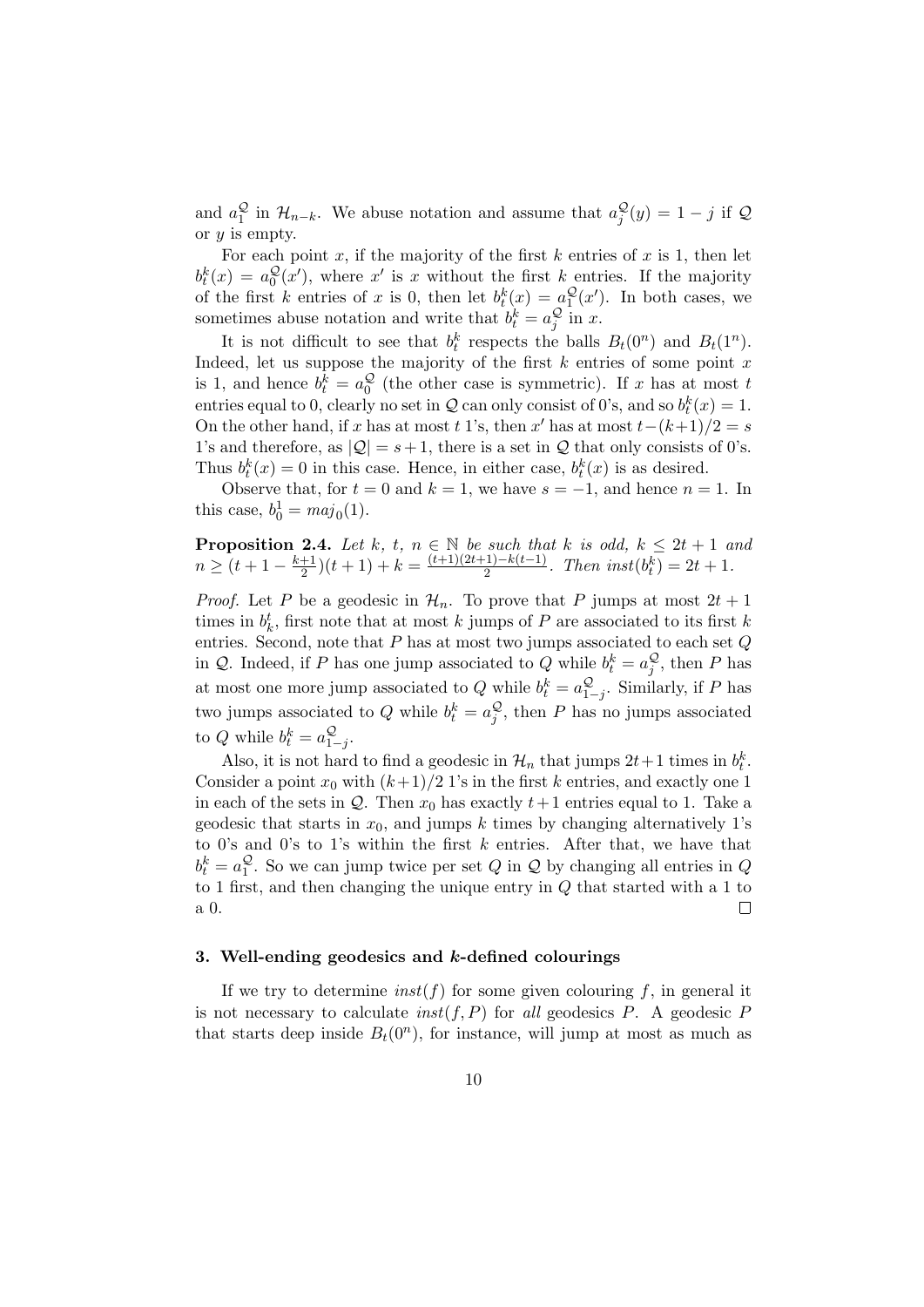and  $a_1^{\mathcal{Q}}$  in  $\mathcal{H}_{n-k}$ . We abuse notation and assume that  $a_j^{\mathcal{Q}}(y) = 1 - j$  if  $\mathcal{Q}$ or *y* is empty.

For each point  $x$ , if the majority of the first  $k$  entries of  $x$  is 1, then let  $b_t^k(x) = a_0^{\mathcal{Q}}(x')$ , where *x*<sup>'</sup> is *x* without the first *k* entries. If the majority  $\boldsymbol{0}$ of the first *k* entries of *x* is 0, then let  $b_t^k(x) = a_1^{\mathcal{Q}}(x')$ . In both cases, we sometimes abuse notation and write that  $b_t^k = a_j^{\mathcal{Q}}$  in *x*.

It is not difficult to see that  $b_t^k$  respects the balls  $B_t(0^n)$  and  $B_t(1^n)$ . Indeed, let us suppose the majority of the first *k* entries of some point *x* is 1, and hence  $b_t^k = a_0^{\mathcal{Q}}$  (the other case is symmetric). If *x* has at most *t* entries equal to 0, clearly no set in  $Q$  can only consist of 0's, and so  $b_t^k(x) = 1$ . On the other hand, if *x* has at most *t* 1's, then *x'* has at most  $t-(k+1)/2 = s$ 1's and therefore, as  $|Q| = s + 1$ , there is a set in  $Q$  that only consists of 0's. Thus  $b_t^k(x) = 0$  in this case. Hence, in either case,  $b_t^k(x)$  is as desired.

Observe that, for  $t = 0$  and  $k = 1$ , we have  $s = -1$ , and hence  $n = 1$ . In this case,  $b_0^1 = maj_0(1)$ .

**Proposition 2.4.** Let 
$$
k, t, n \in \mathbb{N}
$$
 be such that  $k$  is odd,  $k \leq 2t + 1$  and  $n \geq (t + 1 - \frac{k+1}{2})(t+1) + k = \frac{(t+1)(2t+1) - k(t-1)}{2}$ . Then  $inst(b_t^k) = 2t + 1$ .

*Proof.* Let *P* be a geodesic in  $\mathcal{H}_n$ . To prove that *P* jumps at most  $2t + 1$ times in  $b_k^t$ , first note that at most  $k$  jumps of  $P$  are associated to its first  $k$ entries. Second, note that *P* has at most two jumps associated to each set *Q* in *Q*. Indeed, if *P* has one jump associated to *Q* while  $b_t^k = a_j^Q$ , then *P* has at most one more jump associated to *Q* while  $b_t^k = a_{1-j}^Q$ . Similarly, if *P* has two jumps associated to  $Q$  while  $b_t^k = a_j^Q$ , then  $P$  has no jumps associated to Q while  $b_t^k = a_{1-j}^{\mathcal{Q}}$ .

Also, it is not hard to find a geodesic in  $\mathcal{H}_n$  that jumps  $2t+1$  times in  $b_t^k$ . Consider a point  $x_0$  with  $(k+1)/2$  1's in the first *k* entries, and exactly one 1 in each of the sets in  $Q$ . Then  $x_0$  has exactly  $t+1$  entries equal to 1. Take a geodesic that starts in  $x_0$ , and jumps  $k$  times by changing alternatively 1's to 0's and 0's to 1's within the first *k* entries. After that, we have that  $b_t^k = a_1^{\mathcal{Q}}$ . So we can jump twice per set *Q* in *Q* by changing all entries in *Q* to 1 first, and then changing the unique entry in *Q* that started with a 1 to a 0.  $\Box$ 

## **3. Well-ending geodesics and** *k***-defined colourings**

If we try to determine  $inst(f)$  for some given colouring  $f$ , in general it is not necessary to calculate  $inst(f, P)$  for *all* geodesics  $P$ . A geodesic  $P$ that starts deep inside  $B_t(0^n)$ , for instance, will jump at most as much as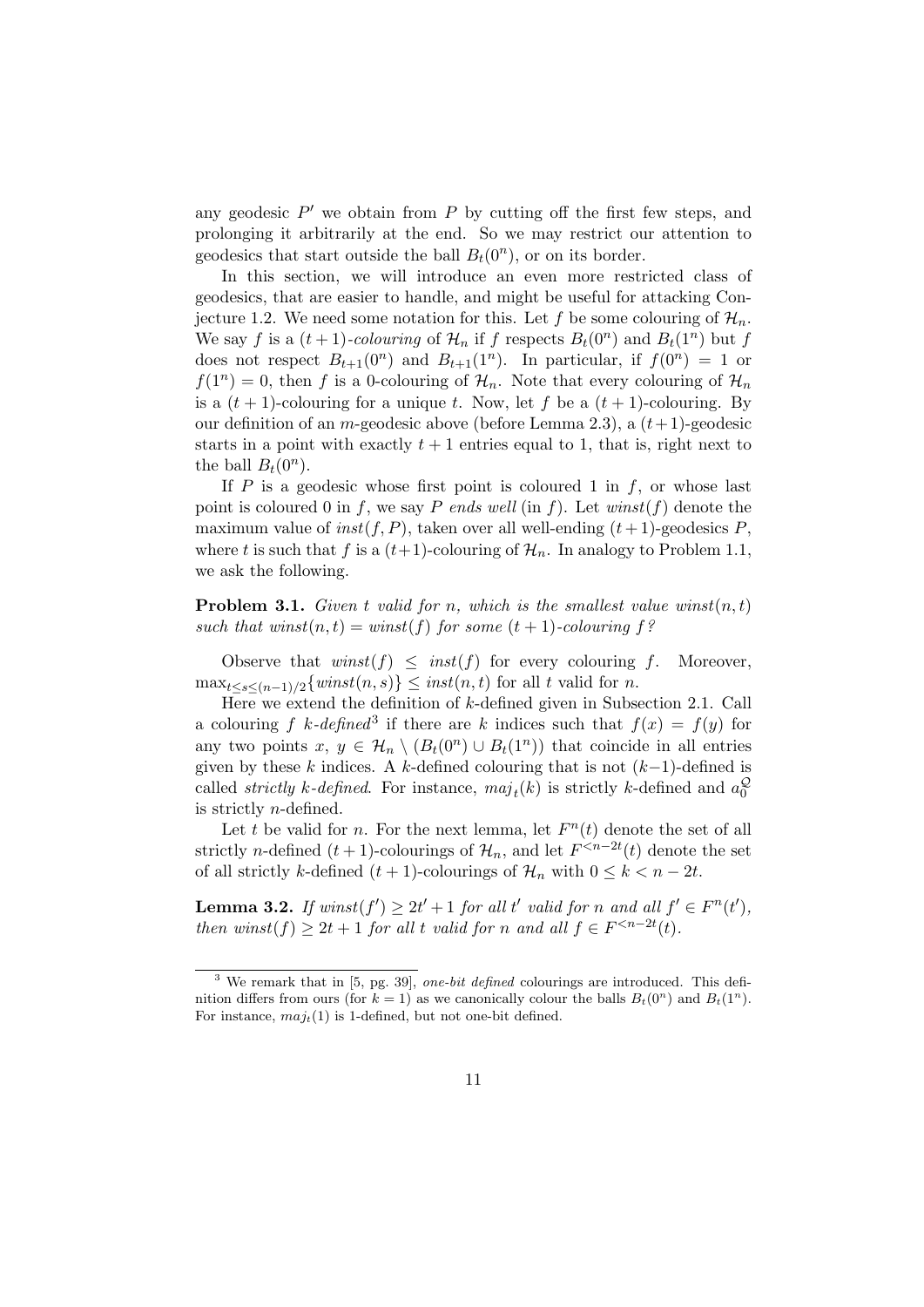any geodesic *P ′* we obtain from *P* by cutting off the first few steps, and prolonging it arbitrarily at the end. So we may restrict our attention to geodesics that start outside the ball  $B_t(0^n)$ , or on its border.

In this section, we will introduce an even more restricted class of geodesics, that are easier to handle, and might be useful for attacking Conjecture 1.2. We need some notation for this. Let f be some colouring of  $\mathcal{H}_n$ . We say *f* is a  $(t + 1)$ -colouring of  $\mathcal{H}_n$  if *f* respects  $B_t(0^n)$  and  $B_t(1^n)$  but *f* does not respect  $B_{t+1}(0^n)$  and  $B_{t+1}(1^n)$ . In particular, if  $f(0^n) = 1$  or  $f(1^n) = 0$ , then *f* is a 0-colouring of  $\mathcal{H}_n$ . Note that every colouring of  $\mathcal{H}_n$ is a  $(t + 1)$ -colouring for a unique *t*. Now, let *f* be a  $(t + 1)$ -colouring. By our definition of an *m*-geodesic above (before Lemma 2.3), a (*t*+ 1)-geodesic starts in a point with exactly  $t+1$  entries equal to 1, that is, right next to the ball  $B_t(0^n)$ .

If  $P$  is a geodesic whose first point is coloured 1 in  $f$ , or whose last point is coloured 0 in *f*, we say *P* ends well (in *f*). Let  $winst(f)$  denote the maximum value of  $inst(f, P)$ , taken over all well-ending  $(t+1)$ -geodesics  $P$ , where *t* is such that *f* is a  $(t+1)$ -colouring of  $\mathcal{H}_n$ . In analogy to Problem 1.1, we ask the following.

**Problem 3.1.** *Given*  $t$  *valid for*  $n$ *, which is the smallest value winst* $(n, t)$ *such that winst* $(n, t) = \text{winst}(f)$  *for some*  $(t + 1)$ *-colouring*  $f$ ?

Observe that  $winst(f) \leq inst(f)$  for every colouring *f*. Moreover,  $\max_{t \leq s \leq (n-1)/2} \{ \text{winst}(n, s) \} \leq \text{inst}(n, t)$  for all *t* valid for *n*.

Here we extend the definition of *k*-defined given in Subsection 2.1. Call a colouring *f*  $k$ *-defined*<sup>3</sup> if there are  $k$  indices such that  $f(x) = f(y)$  for any two points  $x, y \in \mathcal{H}_n \setminus (B_t(0^n) \cup B_t(1^n))$  that coincide in all entries given by these *k* indices. A *k*-defined colouring that is not (*k−*1)-defined is called *strictly k*-defined. For instance,  $maj_t(k)$  is strictly *k*-defined and  $a_0^{\mathcal{Q}}$ is strictly *n*-defined.

Let *t* be valid for *n*. For the next lemma, let  $F<sup>n</sup>(t)$  denote the set of all strictly *n*-defined  $(t + 1)$ -colourings of  $\mathcal{H}_n$ , and let  $F^{\leq n-2t}(t)$  denote the set of all strictly *k*-defined  $(t + 1)$ -colourings of  $\mathcal{H}_n$  with  $0 \leq k < n - 2t$ .

**Lemma 3.2.** If  $winst(f') \geq 2t' + 1$  for all t' valid for n and all  $f' \in F^n(t')$ , *then winst*(*f*)  $\geq 2t + 1$  *for all t valid for n and all*  $f \in F^{< n-2t}(t)$ *.* 

<sup>3</sup> We remark that in [5, pg. 39], *one-bit defined* colourings are introduced. This definition differs from ours (for  $k = 1$ ) as we canonically colour the balls  $B_t(0^n)$  and  $B_t(1^n)$ . For instance,  $maj_t(1)$  is 1-defined, but not one-bit defined.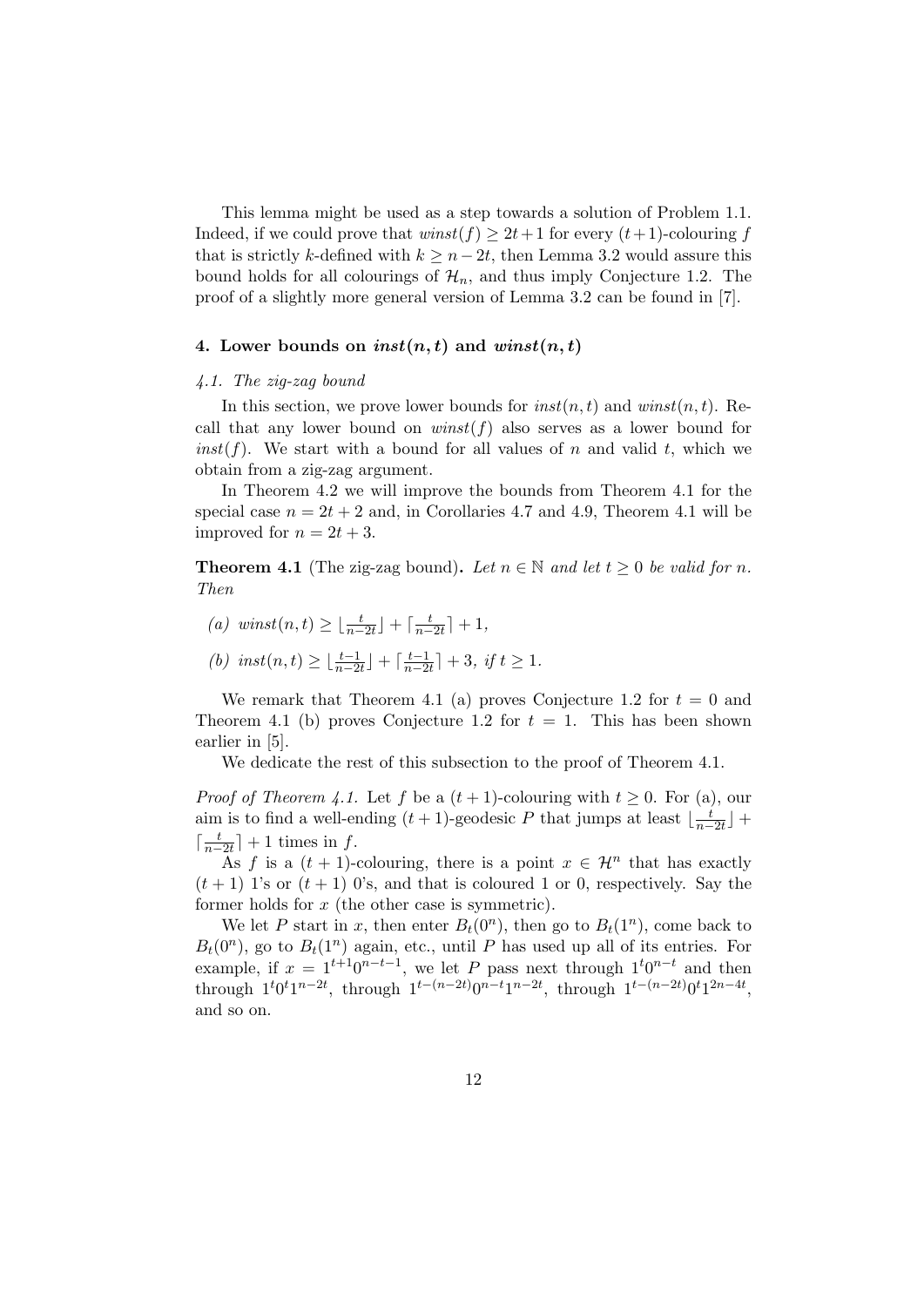This lemma might be used as a step towards a solution of Problem 1.1. Indeed, if we could prove that  $winst(f) \geq 2t+1$  for every  $(t+1)$ -colouring f that is strictly *k*-defined with  $k \geq n-2t$ , then Lemma 3.2 would assure this bound holds for all colourings of  $\mathcal{H}_n$ , and thus imply Conjecture 1.2. The proof of a slightly more general version of Lemma 3.2 can be found in [7].

## 4. Lower bounds on  $inst(n, t)$  and  $winst(n, t)$

#### *4.1. The zig-zag bound*

In this section, we prove lower bounds for  $inst(n, t)$  and  $winst(n, t)$ . Recall that any lower bound on  $winst(f)$  also serves as a lower bound for  $inst(f)$ . We start with a bound for all values of *n* and valid *t*, which we obtain from a zig-zag argument.

In Theorem 4.2 we will improve the bounds from Theorem 4.1 for the special case  $n = 2t + 2$  and, in Corollaries 4.7 and 4.9, Theorem 4.1 will be improved for  $n = 2t + 3$ .

**Theorem 4.1** (The zig-zag bound). Let  $n \in \mathbb{N}$  and let  $t \geq 0$  be valid for *n*. *Then*

- $(a)$  *winst* $(n, t) \geq \lfloor \frac{t}{n-2t} \rfloor + \lceil \frac{t}{n-2t} \rceil$  $\frac{t}{n-2t}$ <sup>1</sup>+1*,*
- $(b)$  *inst* $(n, t) \geq \lfloor \frac{t-1}{n-2t} \rfloor + \lceil \frac{t-1}{n-2} \rceil$  $\left(\frac{t-1}{n-2t}\right]+3, \text{ if } t \geq 1.$

We remark that Theorem 4.1 (a) proves Conjecture 1.2 for  $t = 0$  and Theorem 4.1 (b) proves Conjecture 1.2 for  $t = 1$ . This has been shown earlier in [5].

We dedicate the rest of this subsection to the proof of Theorem 4.1.

*Proof of Theorem 4.1.* Let *f* be a  $(t + 1)$ -colouring with  $t \ge 0$ . For (a), our aim is to find a well-ending  $(t + 1)$ -geodesic P that jumps at least  $\lfloor \frac{t}{n} \rfloor$  $\frac{t}{n-2t}$ <sup> $\vert$ </sup> +  $\lceil \frac{t}{n} \rceil$  $\frac{t}{n-2t}$ <sup>1</sup> + 1 times in *f*.

As f is a  $(t + 1)$ -colouring, there is a point  $x \in \mathcal{H}^n$  that has exactly  $(t+1)$  1's or  $(t+1)$  0's, and that is coloured 1 or 0, respectively. Say the former holds for *x* (the other case is symmetric).

We let *P* start in *x*, then enter  $B_t(0^n)$ , then go to  $B_t(1^n)$ , come back to  $B_t(0^n)$ , go to  $B_t(1^n)$  again, etc., until *P* has used up all of its entries. For example, if  $x = 1^{t+1}0^{n-t-1}$ , we let *P* pass next through  $1^t0^{n-t}$  and then through  $1^t 0^t 1^{n-2t}$ , through  $1^{t-(n-2t)} 0^{n-t} 1^{n-2t}$ , through  $1^{t-(n-2t)} 0^t 1^{2n-4t}$ , and so on.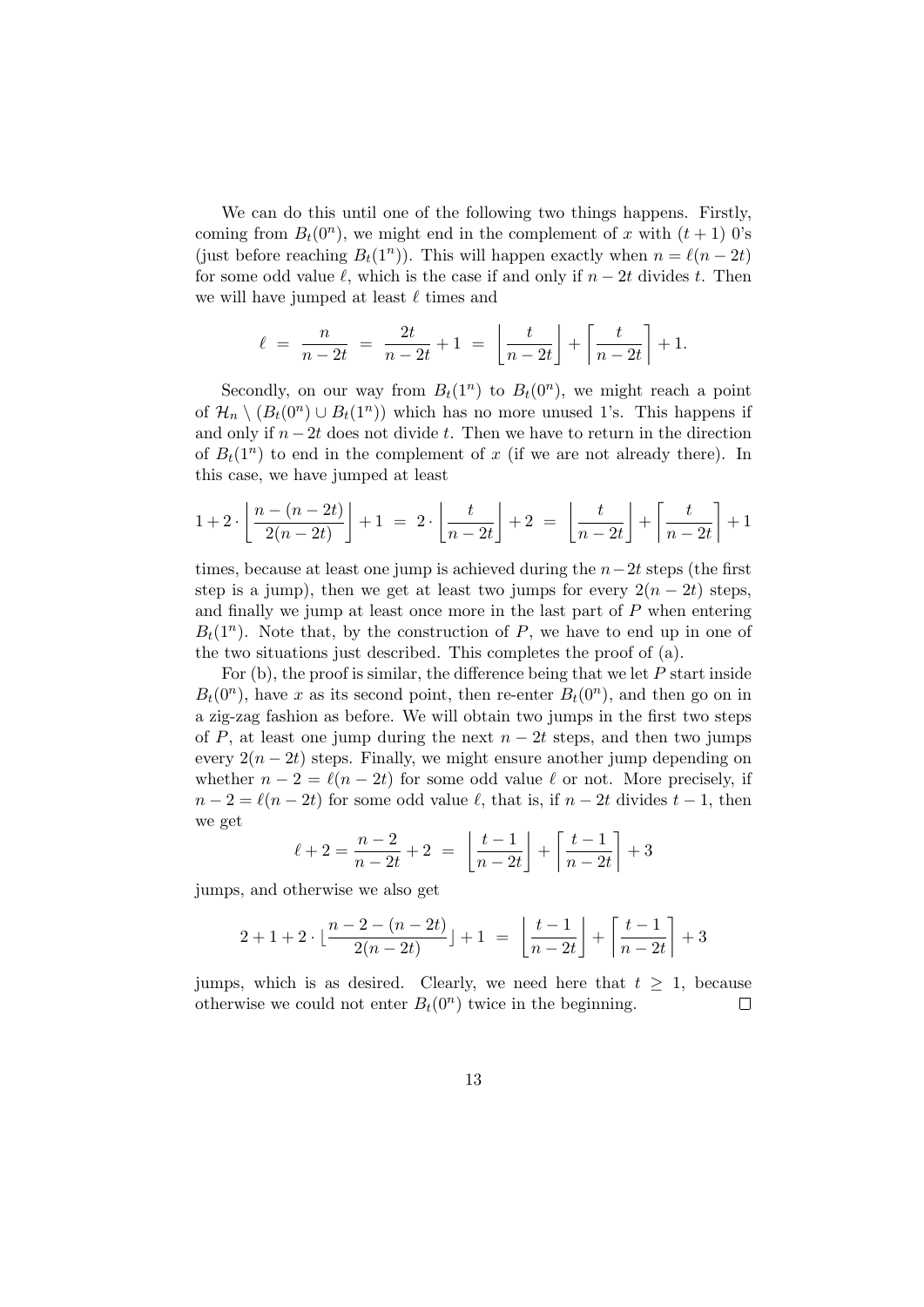We can do this until one of the following two things happens. Firstly, coming from  $B_t(0^n)$ , we might end in the complement of *x* with  $(t + 1)$  0's (just before reaching  $B_t(1^n)$ ). This will happen exactly when  $n = \ell(n-2t)$ for some odd value  $\ell$ , which is the case if and only if  $n-2t$  divides  $t$ . Then we will have jumped at least *ℓ* times and

$$
\ell = \frac{n}{n-2t} = \frac{2t}{n-2t} + 1 = \left\lfloor \frac{t}{n-2t} \right\rfloor + \left\lceil \frac{t}{n-2t} \right\rceil + 1.
$$

Secondly, on our way from  $B_t(1^n)$  to  $B_t(0^n)$ , we might reach a point of  $\mathcal{H}_n \setminus (B_t(0^n) \cup B_t(1^n))$  which has no more unused 1's. This happens if and only if *n−*2*t* does not divide *t*. Then we have to return in the direction of  $B_t(1^n)$  to end in the complement of x (if we are not already there). In this case, we have jumped at least

$$
1+2\cdot\left\lfloor\frac{n-(n-2t)}{2(n-2t)}\right\rfloor+1\;=\;2\cdot\left\lfloor\frac{t}{n-2t}\right\rfloor+2\;=\;\left\lfloor\frac{t}{n-2t}\right\rfloor+\left\lceil\frac{t}{n-2t}\right\rceil+1
$$

times, because at least one jump is achieved during the *n−*2*t* steps (the first step is a jump), then we get at least two jumps for every  $2(n-2t)$  steps, and finally we jump at least once more in the last part of *P* when entering  $B_t(1^n)$ . Note that, by the construction of *P*, we have to end up in one of the two situations just described. This completes the proof of (a).

For (b), the proof is similar, the difference being that we let *P* start inside  $B_t(0^n)$ , have *x* as its second point, then re-enter  $B_t(0^n)$ , and then go on in a zig-zag fashion as before. We will obtain two jumps in the first two steps of *P*, at least one jump during the next  $n-2t$  steps, and then two jumps every  $2(n-2t)$  steps. Finally, we might ensure another jump depending on whether  $n-2 = \ell(n-2t)$  for some odd value  $\ell$  or not. More precisely, if  $n-2 = \ell(n-2t)$  for some odd value  $\ell$ , that is, if  $n-2t$  divides  $t-1$ , then we get

$$
\ell + 2 = \frac{n-2}{n-2t} + 2 = \left\lfloor \frac{t-1}{n-2t} \right\rfloor + \left\lceil \frac{t-1}{n-2t} \right\rceil + 3
$$

jumps, and otherwise we also get

$$
2+1+2\cdot \lfloor\frac{n-2-(n-2t)}{2(n-2t)}\rfloor+1 ~=~ \left\lfloor\frac{t-1}{n-2t}\right\rfloor+\left\lceil\frac{t-1}{n-2t}\right\rceil+3
$$

jumps, which is as desired. Clearly, we need here that  $t \geq 1$ , because otherwise we could not enter  $B_t(0^n)$  twice in the beginning.  $\Box$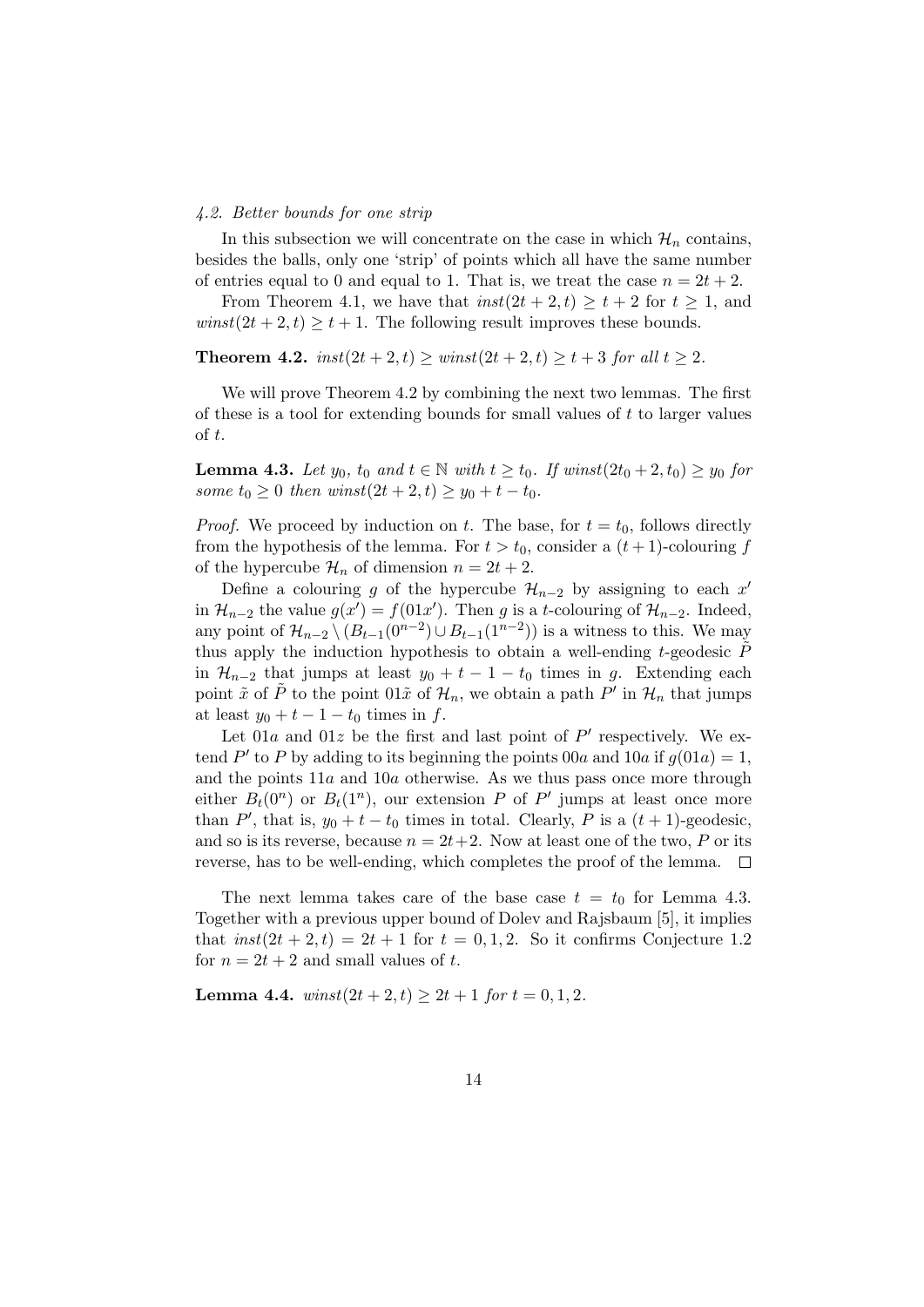#### *4.2. Better bounds for one strip*

In this subsection we will concentrate on the case in which  $\mathcal{H}_n$  contains, besides the balls, only one 'strip' of points which all have the same number of entries equal to 0 and equal to 1. That is, we treat the case  $n = 2t + 2$ .

From Theorem 4.1, we have that  $inst(2t + 2, t) \geq t + 2$  for  $t \geq 1$ , and  $winst(2t + 2, t) \geq t + 1$ . The following result improves these bounds.

**Theorem 4.2.**  $inst(2t + 2, t) \geq winst(2t + 2, t) \geq t + 3$  *for all*  $t > 2$ *.* 

We will prove Theorem 4.2 by combining the next two lemmas. The first of these is a tool for extending bounds for small values of *t* to larger values of *t*.

**Lemma 4.3.** *Let*  $y_0$ *,*  $t_0$  *and*  $t \in \mathbb{N}$  *with*  $t \ge t_0$ *. If winst* $(2t_0 + 2, t_0) \ge y_0$  *for some*  $t_0 \geq 0$  *then winst* $(2t + 2, t) \geq y_0 + t - t_0$ *.* 

*Proof.* We proceed by induction on *t*. The base, for  $t = t_0$ , follows directly from the hypothesis of the lemma. For  $t > t_0$ , consider a  $(t + 1)$ -colouring  $f$ of the hypercube  $\mathcal{H}_n$  of dimension  $n = 2t + 2$ .

Define a colouring *g* of the hypercube  $\mathcal{H}_{n-2}$  by assigning to each  $x'$ in  $\mathcal{H}_{n-2}$  the value  $g(x') = f(01x')$ . Then *g* is a *t*-colouring of  $\mathcal{H}_{n-2}$ . Indeed, any point of  $\mathcal{H}_{n-2} \setminus (B_{t-1}(0^{n-2}) \cup B_{t-1}(1^{n-2}))$  is a witness to this. We may thus apply the induction hypothesis to obtain a well-ending *t*-geodesic *P*˜ in  $\mathcal{H}_{n-2}$  that jumps at least  $y_0 + t - 1 - t_0$  times in *g*. Extending each point  $\tilde{x}$  of  $\tilde{P}$  to the point  $01\tilde{x}$  of  $\mathcal{H}_n$ , we obtain a path  $P'$  in  $\mathcal{H}_n$  that jumps at least  $y_0 + t - 1 - t_0$  times in  $f$ .

Let  $01a$  and  $01z$  be the first and last point of  $P'$  respectively. We extend  $P'$  to P by adding to its beginning the points 00*a* and 10*a* if  $g(01a) = 1$ , and the points 11*a* and 10*a* otherwise. As we thus pass once more through either  $B_t(0^n)$  or  $B_t(1^n)$ , our extension *P* of *P'* jumps at least once more than  $P'$ , that is,  $y_0 + t - t_0$  times in total. Clearly,  $P$  is a  $(t + 1)$ -geodesic, and so is its reverse, because  $n = 2t + 2$ . Now at least one of the two, P or its reverse, has to be well-ending, which completes the proof of the lemma.  $\Box$ 

The next lemma takes care of the base case  $t = t_0$  for Lemma 4.3. Together with a previous upper bound of Dolev and Rajsbaum [5], it implies that  $inst(2t+2,t) = 2t+1$  for  $t = 0,1,2$ . So it confirms Conjecture 1.2 for  $n = 2t + 2$  and small values of t.

**Lemma 4.4.**  $winst(2t + 2, t) \geq 2t + 1$  *for*  $t = 0, 1, 2$ *.*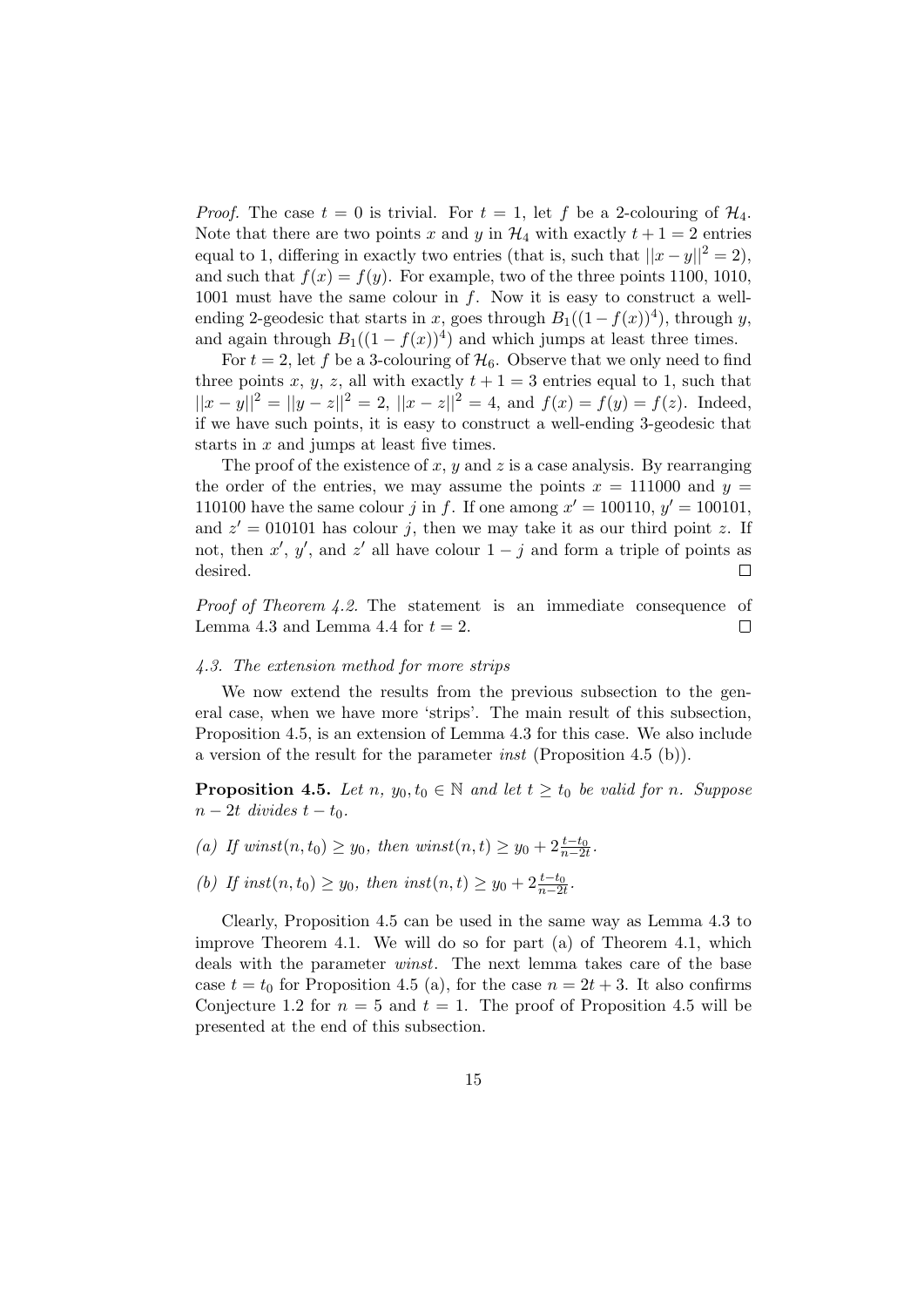*Proof.* The case  $t = 0$  is trivial. For  $t = 1$ , let f be a 2-colouring of  $\mathcal{H}_4$ . Note that there are two points *x* and *y* in  $H_4$  with exactly  $t + 1 = 2$  entries equal to 1, differing in exactly two entries (that is, such that  $||x-y||^2 = 2$ ), and such that  $f(x) = f(y)$ . For example, two of the three points 1100, 1010, 1001 must have the same colour in *f*. Now it is easy to construct a wellending 2-geodesic that starts in *x*, goes through  $B_1((1 - f(x))^4)$ , through *y*, and again through  $B_1((1 - f(x))^4)$  and which jumps at least three times.

For  $t = 2$ , let f be a 3-colouring of  $\mathcal{H}_6$ . Observe that we only need to find three points *x*, *y*, *z*, all with exactly  $t + 1 = 3$  entries equal to 1, such that  $||x - y||^2 = ||y - z||^2 = 2$ ,  $||x - z||^2 = 4$ , and  $f(x) = f(y) = f(z)$ . Indeed, if we have such points, it is easy to construct a well-ending 3-geodesic that starts in *x* and jumps at least five times.

The proof of the existence of *x*, *y* and *z* is a case analysis. By rearranging the order of the entries, we may assume the points  $x = 111000$  and  $y =$ 110100 have the same colour *j* in *f*. If one among  $x' = 100110$ ,  $y' = 100101$ , and  $z' = 010101$  has colour *j*, then we may take it as our third point *z*. If not, then  $x'$ ,  $y'$ , and  $z'$  all have colour  $1 - j$  and form a triple of points as desired.  $\Box$ 

*Proof of Theorem 4.2.* The statement is an immediate consequence of Lemma 4.3 and Lemma 4.4 for  $t = 2$ .  $\Box$ 

#### *4.3. The extension method for more strips*

We now extend the results from the previous subsection to the general case, when we have more 'strips'. The main result of this subsection, Proposition 4.5, is an extension of Lemma 4.3 for this case. We also include a version of the result for the parameter *inst* (Proposition 4.5 (b)).

**Proposition 4.5.** *Let*  $n, y_0, t_0 \in \mathbb{N}$  *and let*  $t \geq t_0$  *be valid for n. Suppose*  $n-2t$  *divides*  $t-t_0$ *.* 

- *(a) If winst*(*n*,*t*<sub>0</sub>) ≥ *y*<sub>0</sub>*, then winst*(*n,t*) ≥ *y*<sub>0</sub> + 2 $\frac{t-t_0}{n-2t}$ .
- *(b) If inst*(*n, t*<sub>0</sub>)  $\geq y_0$ *, then inst*(*n, t*)  $\geq y_0 + 2\frac{t-t_0}{n-2t}$ .

Clearly, Proposition 4.5 can be used in the same way as Lemma 4.3 to improve Theorem 4.1. We will do so for part (a) of Theorem 4.1, which deals with the parameter *winst*. The next lemma takes care of the base case  $t = t_0$  for Proposition 4.5 (a), for the case  $n = 2t + 3$ . It also confirms Conjecture 1.2 for  $n = 5$  and  $t = 1$ . The proof of Proposition 4.5 will be presented at the end of this subsection.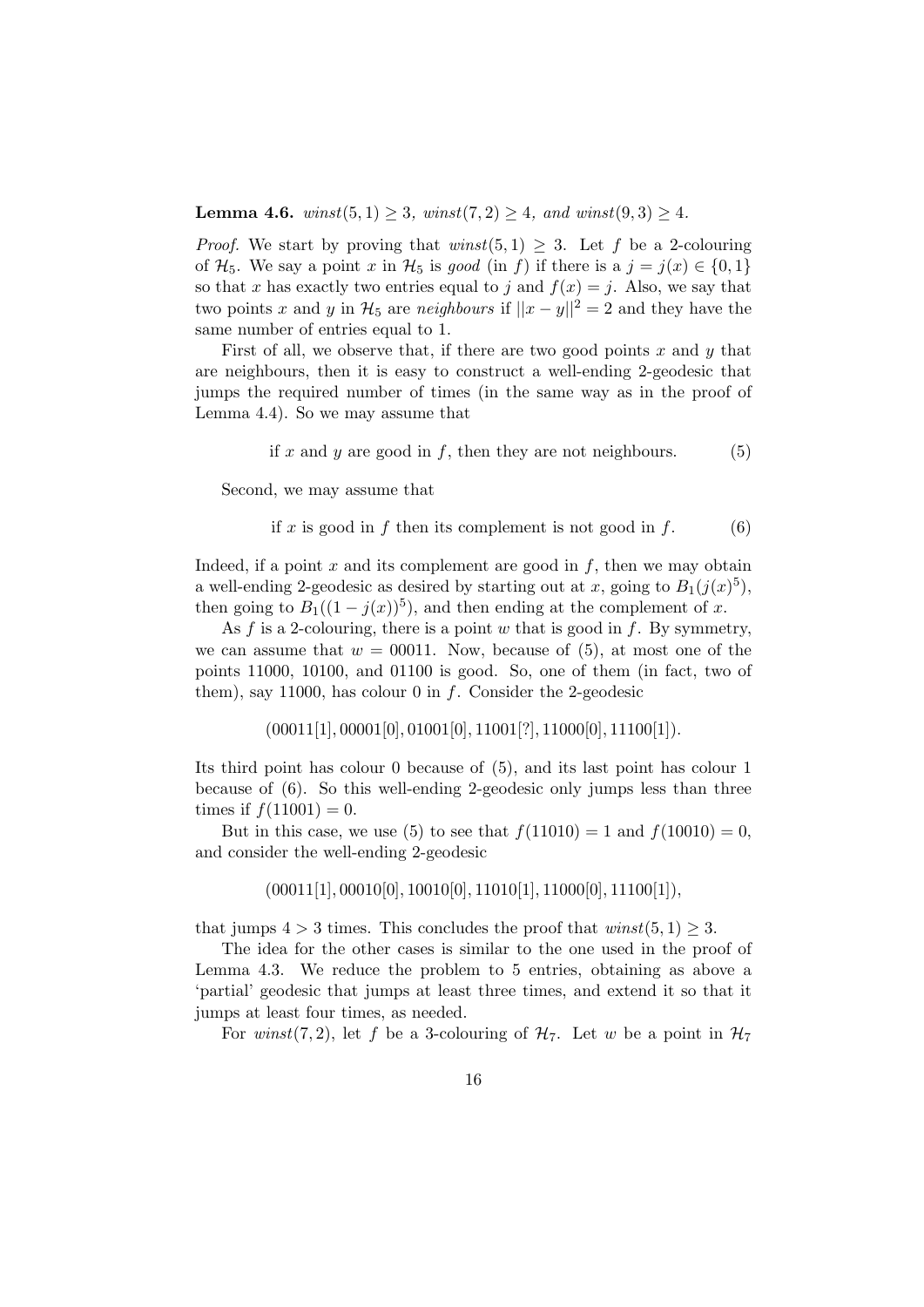**Lemma 4.6.** *winst* $(5, 1) \geq 3$ *, winst* $(7, 2) \geq 4$ *, and winst* $(9, 3) \geq 4$ *.* 

*Proof.* We start by proving that  $\text{winst}(5,1) \geq 3$ . Let f be a 2-colouring of  $\mathcal{H}_5$ . We say a point *x* in  $\mathcal{H}_5$  is *good* (in *f*) if there is a  $j = j(x) \in \{0, 1\}$ so that *x* has exactly two entries equal to *j* and  $f(x) = j$ . Also, we say that two points *x* and *y* in  $\mathcal{H}_5$  are *neighbours* if  $||x - y||^2 = 2$  and they have the same number of entries equal to 1.

First of all, we observe that, if there are two good points *x* and *y* that are neighbours, then it is easy to construct a well-ending 2-geodesic that jumps the required number of times (in the same way as in the proof of Lemma 4.4). So we may assume that

if 
$$
x
$$
 and  $y$  are good in  $f$ , then they are not neighbours. (5)

Second, we may assume that

if 
$$
x
$$
 is good in  $f$  then its complement is not good in  $f$ . (6)

Indeed, if a point  $x$  and its complement are good in  $f$ , then we may obtain a well-ending 2-geodesic as desired by starting out at *x*, going to  $B_1(j(x)^5)$ , then going to  $B_1((1 - j(x))^5)$ , and then ending at the complement of *x*.

As *f* is a 2-colouring, there is a point *w* that is good in *f*. By symmetry, we can assume that  $w = 00011$ . Now, because of  $(5)$ , at most one of the points 11000, 10100, and 01100 is good. So, one of them (in fact, two of them), say 11000, has colour 0 in *f*. Consider the 2-geodesic

(00011[1]*,* 00001[0]*,* 01001[0]*,* 11001[?]*,* 11000[0]*,* 11100[1])*.*

Its third point has colour 0 because of (5), and its last point has colour 1 because of (6). So this well-ending 2-geodesic only jumps less than three times if  $f(11001) = 0$ .

But in this case, we use (5) to see that  $f(11010) = 1$  and  $f(10010) = 0$ , and consider the well-ending 2-geodesic

$$
(00011[1], 00010[0], 10010[0], 11010[1], 11000[0], 11100[1]),
$$

that jumps  $4 > 3$  times. This concludes the proof that  $winst(5, 1) \geq 3$ .

The idea for the other cases is similar to the one used in the proof of Lemma 4.3. We reduce the problem to 5 entries, obtaining as above a 'partial' geodesic that jumps at least three times, and extend it so that it jumps at least four times, as needed.

For *winst*(7,2), let f be a 3-colouring of  $H_7$ . Let w be a point in  $H_7$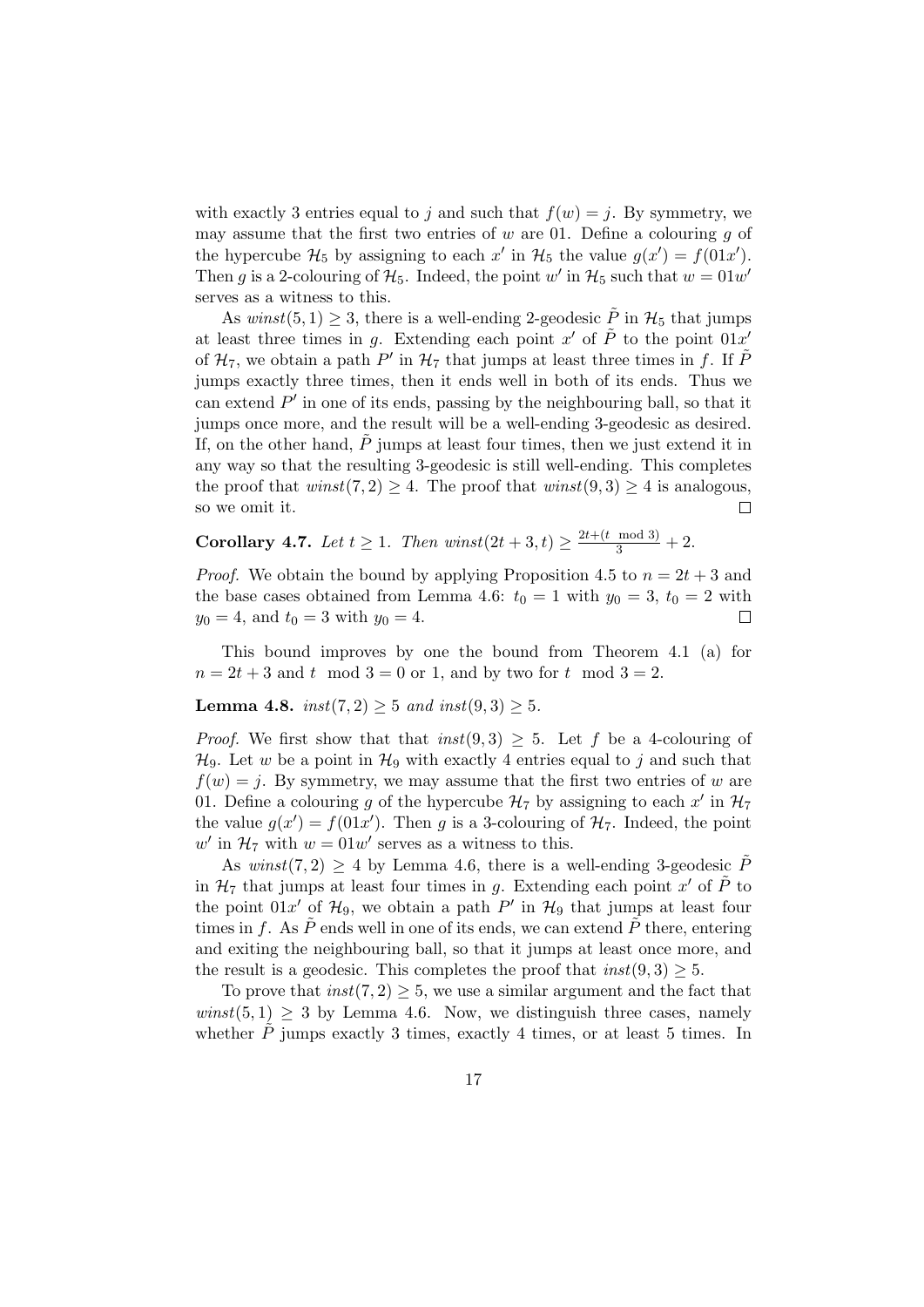with exactly 3 entries equal to *j* and such that  $f(w) = j$ . By symmetry, we may assume that the first two entries of *w* are 01. Define a colouring *g* of the hypercube  $\mathcal{H}_5$  by assigning to each  $x'$  in  $\mathcal{H}_5$  the value  $g(x') = f(01x')$ . Then *g* is a 2-colouring of  $\mathcal{H}_5$ . Indeed, the point *w'* in  $\mathcal{H}_5$  such that  $w = 01w'$ serves as a witness to this.

As  $winst(5, 1) \geq 3$ , there is a well-ending 2-geodesic  $\tilde{P}$  in  $\mathcal{H}_5$  that jumps at least three times in *g*. Extending each point  $x'$  of  $\tilde{P}$  to the point  $01x'$ of  $\mathcal{H}_7$ , we obtain a path  $P'$  in  $\mathcal{H}_7$  that jumps at least three times in  $f$ . If  $\tilde{P}$ jumps exactly three times, then it ends well in both of its ends. Thus we can extend *P ′* in one of its ends, passing by the neighbouring ball, so that it jumps once more, and the result will be a well-ending 3-geodesic as desired. If, on the other hand,  $\overline{P}$  jumps at least four times, then we just extend it in any way so that the resulting 3-geodesic is still well-ending. This completes the proof that  $\text{winst}(7,2) \geq 4$ . The proof that  $\text{winst}(9,3) \geq 4$  is analogous, so we omit it. П

**Corollary 4.7.** *Let*  $t \geq 1$ *. Then winst* $(2t + 3, t) \geq \frac{2t + (t \mod 3)}{3} + 2$ *.* 

*Proof.* We obtain the bound by applying Proposition 4.5 to  $n = 2t + 3$  and the base cases obtained from Lemma 4.6:  $t_0 = 1$  with  $y_0 = 3$ ,  $t_0 = 2$  with  $y_0 = 4$ , and  $t_0 = 3$  with  $y_0 = 4$ .  $\Box$ 

This bound improves by one the bound from Theorem 4.1 (a) for  $n = 2t + 3$  and *t* mod  $3 = 0$  or 1, and by two for *t* mod  $3 = 2$ .

## **Lemma 4.8.**  $inst(7, 2) \geq 5$  *and inst* $(9, 3) \geq 5$ *.*

*Proof.* We first show that that  $inst(9,3) \geq 5$ . Let f be a 4-colouring of  $\mathcal{H}_9$ . Let *w* be a point in  $\mathcal{H}_9$  with exactly 4 entries equal to *j* and such that  $f(w) = j$ . By symmetry, we may assume that the first two entries of *w* are 01. Define a colouring *g* of the hypercube  $\mathcal{H}_7$  by assigning to each  $x'$  in  $\mathcal{H}_7$ the value  $g(x') = f(01x')$ . Then *g* is a 3-colouring of  $\mathcal{H}_7$ . Indeed, the point  $w'$  in  $\mathcal{H}_7$  with  $w = 01w'$  serves as a witness to this.

As  $winst(7,2) \geq 4$  by Lemma 4.6, there is a well-ending 3-geodesic  $\tilde{P}$ in  $\mathcal{H}_7$  that jumps at least four times in *g*. Extending each point *x'* of  $\tilde{P}$  to the point  $01x'$  of  $\mathcal{H}_9$ , we obtain a path  $P'$  in  $\mathcal{H}_9$  that jumps at least four times in  $f$ . As  $\ddot{P}$  ends well in one of its ends, we can extend  $\ddot{P}$  there, entering and exiting the neighbouring ball, so that it jumps at least once more, and the result is a geodesic. This completes the proof that  $inst(9, 3) \geq 5$ .

To prove that  $inst(7, 2) \geq 5$ , we use a similar argument and the fact that  $winst(5, 1) \geq 3$  by Lemma 4.6. Now, we distinguish three cases, namely whether  $\dot{P}$  jumps exactly 3 times, exactly 4 times, or at least 5 times. In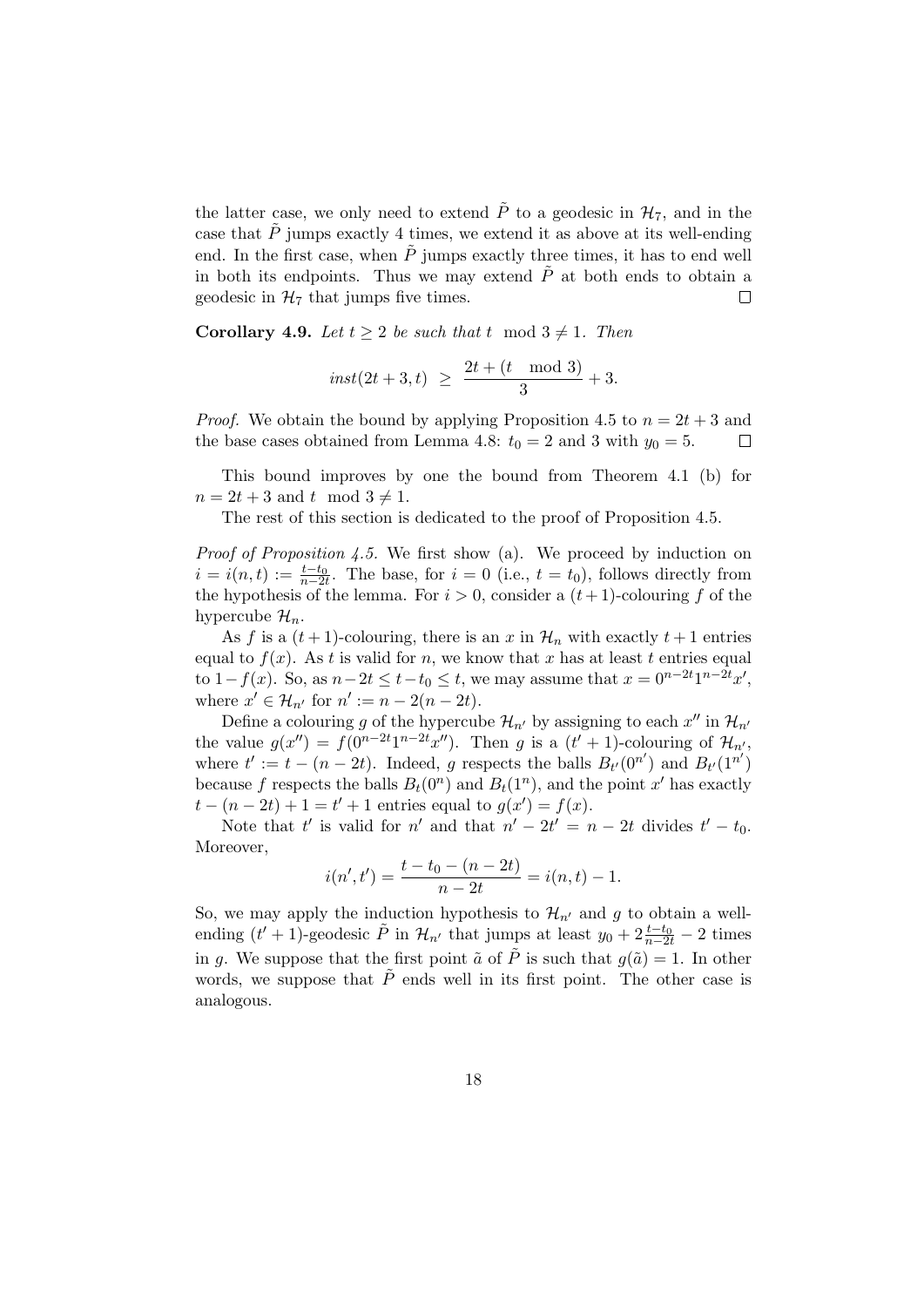the latter case, we only need to extend  $\tilde{P}$  to a geodesic in  $\mathcal{H}_7$ , and in the case that  $\tilde{P}$  jumps exactly 4 times, we extend it as above at its well-ending end. In the first case, when  $\tilde{P}$  jumps exactly three times, it has to end well in both its endpoints. Thus we may extend  $\ddot{P}$  at both ends to obtain a geodesic in  $\mathcal{H}_7$  that jumps five times.  $\Box$ 

**Corollary 4.9.** *Let*  $t \geq 2$  *be such that*  $t \mod 3 \neq 1$ *. Then* 

$$
inst(2t+3,t) \ \geq \ \frac{2t+(t \mod 3)}{3}+3.
$$

*Proof.* We obtain the bound by applying Proposition 4.5 to  $n = 2t + 3$  and the base cases obtained from Lemma 4.8:  $t_0 = 2$  and 3 with  $y_0 = 5$ .  $\Box$ 

This bound improves by one the bound from Theorem 4.1 (b) for  $n = 2t + 3$  and  $t \mod 3 \neq 1$ .

The rest of this section is dedicated to the proof of Proposition 4.5.

*Proof of Proposition 4.5.* We first show (a). We proceed by induction on  $i = i(n, t) := \frac{t - t_0}{n - 2t}$ . The base, for  $i = 0$  (i.e.,  $t = t_0$ ), follows directly from the hypothesis of the lemma. For  $i > 0$ , consider a  $(t + 1)$ -colouring f of the hypercube  $\mathcal{H}_n$ .

As *f* is a  $(t+1)$ -colouring, there is an *x* in  $\mathcal{H}_n$  with exactly  $t+1$  entries equal to  $f(x)$ . As *t* is valid for *n*, we know that *x* has at least *t* entries equal to  $1 - f(x)$ . So, as  $n - 2t \le t - t_0 \le t$ , we may assume that  $x = 0^{n-2t} 1^{n-2t} x'$ , where  $x' \in \mathcal{H}_{n'}$  for  $n' := n - 2(n - 2t)$ .

Define a colouring *g* of the hypercube  $\mathcal{H}_{n'}$  by assigning to each  $x''$  in  $\mathcal{H}_{n'}$ the value  $g(x'') = f(0^{n-2t}1^{n-2t}x'')$ . Then *g* is a  $(t' + 1)$ -colouring of  $\mathcal{H}_{n'}$ , where  $t' := t - (n - 2t)$ . Indeed, *g* respects the balls  $B_{t'}(0^{n'})$  and  $B_{t'}(1^{n'})$ because *f* respects the balls  $B_t(0^n)$  and  $B_t(1^n)$ , and the point *x*<sup>*'*</sup> has exactly  $t - (n - 2t) + 1 = t' + 1$  entries equal to  $g(x') = f(x)$ .

Note that  $t'$  is valid for  $n'$  and that  $n' - 2t' = n - 2t$  divides  $t' - t_0$ . Moreover,

$$
i(n',t') = \frac{t - t_0 - (n - 2t)}{n - 2t} = i(n,t) - 1.
$$

So, we may apply the induction hypothesis to  $\mathcal{H}_{n'}$  and g to obtain a wellending  $(t' + 1)$ -geodesic  $\tilde{P}$  in  $\mathcal{H}_{n'}$  that jumps at least  $y_0 + 2\frac{t-t_0}{n-2t} - 2$  times in *g*. We suppose that the first point  $\tilde{a}$  of  $\tilde{P}$  is such that  $g(\tilde{a}) = 1$ . In other words, we suppose that  $\tilde{P}$  ends well in its first point. The other case is analogous.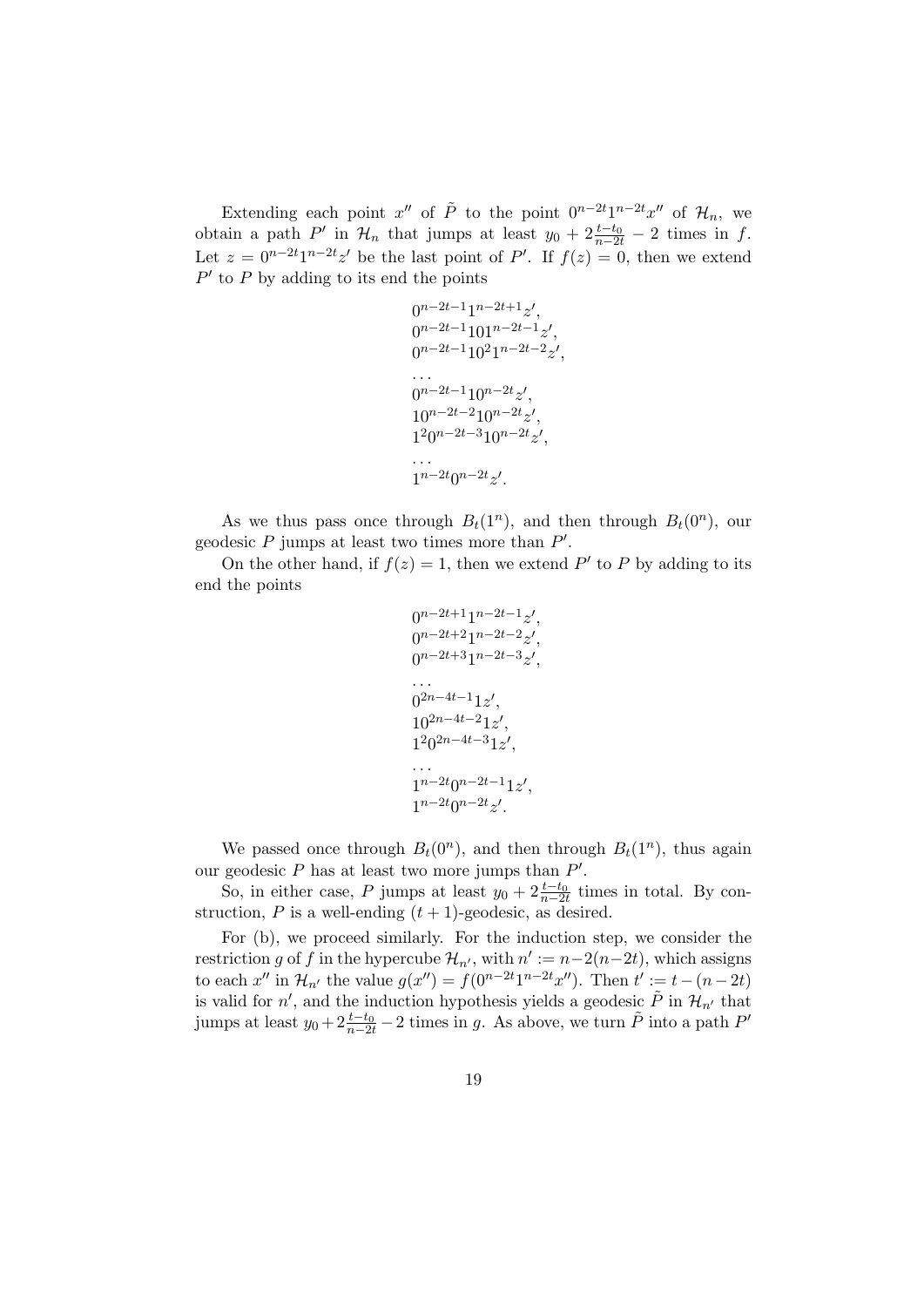Extending each point  $x''$  of  $\tilde{P}$  to the point  $0^{n-2t}1^{n-2t}x''$  of  $\mathcal{H}_n$ , we obtain a path *P*<sup>*′*</sup> in  $\mathcal{H}_n$  that jumps at least  $y_0 + 2 \frac{t-t_0}{n-2t} - 2$  times in *f*. Let  $z = 0^{n-2t}1^{n-2t}z'$  be the last point of *P'*. If  $f(z) = 0$ , then we extend *P ′* to *P* by adding to its end the points

```
0^{n-2t-1}1^{n-2t+1}z'0^{n-2t-1}101^{n-2t-1}z'0^{n-2t-1}10^{2}1^{n-2t-2}z^{\prime},. . .
0^{n-2t-1}10^{n-2t}z'10^{n-2t-2}10^{n-2t}z'1^20^{n-2t-3}10^{n-2t}z'. . .
1^{n-2t}0^{n-2t}z'.
```
As we thus pass once through  $B_t(1^n)$ , and then through  $B_t(0^n)$ , our geodesic *P* jumps at least two times more than *P ′* .

On the other hand, if  $f(z) = 1$ , then we extend P' to P by adding to its end the points

$$
0^{n-2t+1}1^{n-2t-1}z',
$$
  
\n
$$
0^{n-2t+2}1^{n-2t-2}z',
$$
  
\n
$$
0^{n-2t+3}1^{n-2t-3}z',
$$
  
\n...  
\n
$$
0^{2n-4t-1}1z',
$$
  
\n
$$
1^{2n-4t-2}1z',
$$
  
\n...  
\n
$$
1^{n-2t}0^{n-2t-1}1z',
$$
  
\n...  
\n
$$
1^{n-2t}0^{n-2t}z'.
$$

We passed once through  $B_t(0^n)$ , and then through  $B_t(1^n)$ , thus again our geodesic *P* has at least two more jumps than *P ′* .

So, in either case, *P* jumps at least  $y_0 + 2\frac{t-t_0}{n-2t}$  times in total. By construction,  $P$  is a well-ending  $(t + 1)$ -geodesic, as desired.

For (b), we proceed similarly. For the induction step, we consider the restriction *g* of *f* in the hypercube  $\mathcal{H}_{n'}$ , with  $n' := n - 2(n - 2t)$ , which assigns to each  $x''$  in  $\mathcal{H}_{n'}$  the value  $g(x'') = f(0^{n-2t}1^{n-2t}x'')$ . Then  $t' := t - (n-2t)$ is valid for  $n'$ , and the induction hypothesis yields a geodesic  $\tilde{P}$  in  $\mathcal{H}_{n'}$  that jumps at least  $y_0 + 2\frac{t-t_0}{n-2t} - 2$  times in *g*. As above, we turn  $\tilde{P}$  into a path  $P'$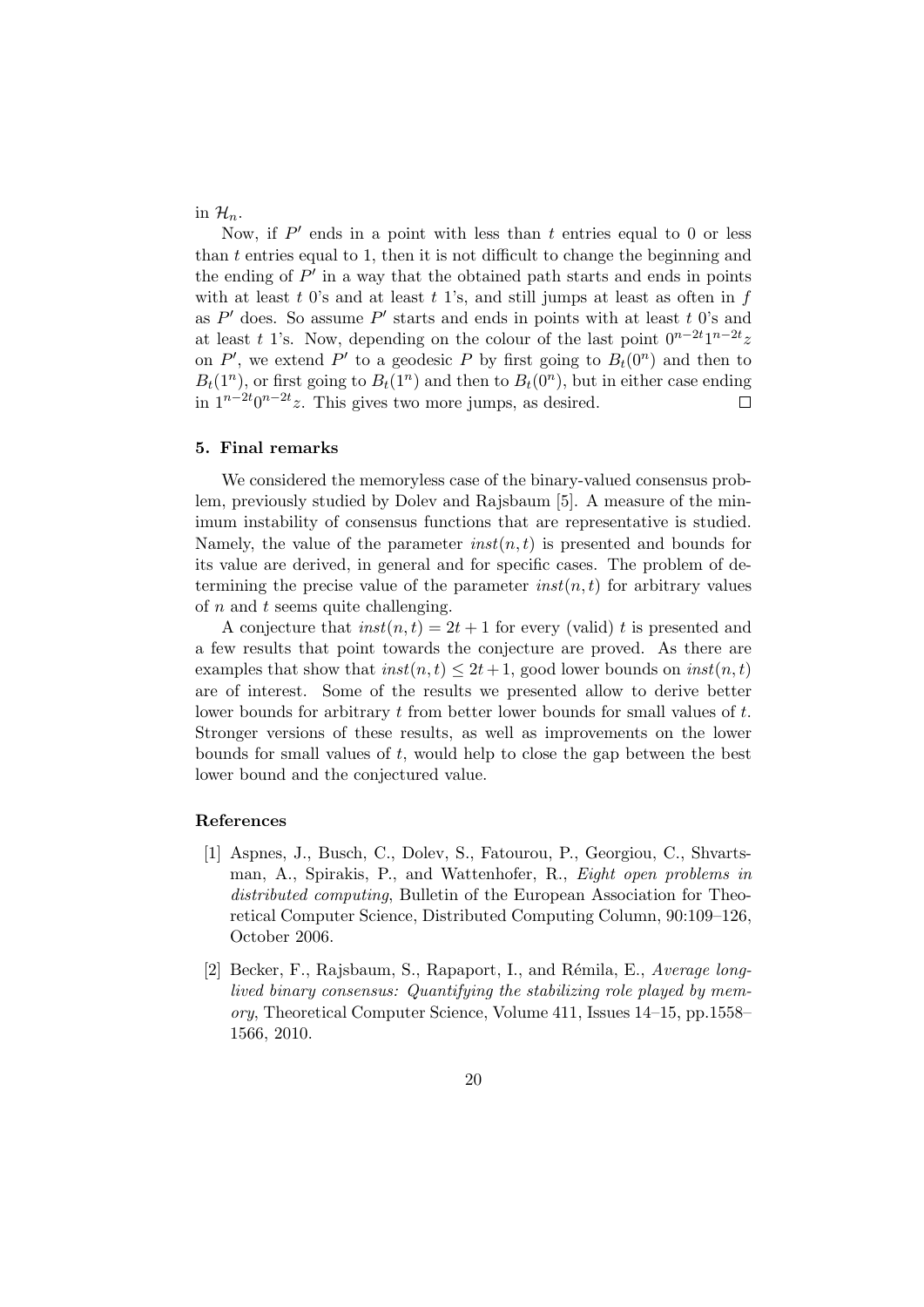in  $\mathcal{H}_n$ .

Now, if P' ends in a point with less than t entries equal to 0 or less than *t* entries equal to 1, then it is not difficult to change the beginning and the ending of *P ′* in a way that the obtained path starts and ends in points with at least *t* 0's and at least *t* 1's, and still jumps at least as often in *f* as *P ′* does. So assume *P ′* starts and ends in points with at least *t* 0's and at least *t* 1's. Now, depending on the colour of the last point  $0^{n-2t}1^{n-2t}z$ on  $P'$ , we extend  $P'$  to a geodesic  $P$  by first going to  $B_t(0^n)$  and then to  $B_t(1^n)$ , or first going to  $B_t(1^n)$  and then to  $B_t(0^n)$ , but in either case ending in  $1^{n-2t}0^{n-2t}z$ . This gives two more jumps, as desired.  $\Box$ 

## **5. Final remarks**

We considered the memoryless case of the binary-valued consensus problem, previously studied by Dolev and Rajsbaum [5]. A measure of the minimum instability of consensus functions that are representative is studied. Namely, the value of the parameter *inst*(*n, t*) is presented and bounds for its value are derived, in general and for specific cases. The problem of determining the precise value of the parameter  $inst(n, t)$  for arbitrary values of *n* and *t* seems quite challenging.

A conjecture that  $inst(n, t) = 2t + 1$  for every (valid) *t* is presented and a few results that point towards the conjecture are proved. As there are examples that show that  $inst(n, t) \leq 2t + 1$ , good lower bounds on  $inst(n, t)$ are of interest. Some of the results we presented allow to derive better lower bounds for arbitrary *t* from better lower bounds for small values of *t*. Stronger versions of these results, as well as improvements on the lower bounds for small values of *t*, would help to close the gap between the best lower bound and the conjectured value.

## **References**

- [1] Aspnes, J., Busch, C., Dolev, S., Fatourou, P., Georgiou, C., Shvartsman, A., Spirakis, P., and Wattenhofer, R., *Eight open problems in distributed computing*, Bulletin of the European Association for Theoretical Computer Science, Distributed Computing Column, 90:109–126, October 2006.
- [2] Becker, F., Rajsbaum, S., Rapaport, I., and R´emila, E., *Average longlived binary consensus: Quantifying the stabilizing role played by memory*, Theoretical Computer Science, Volume 411, Issues 14–15, pp.1558– 1566, 2010.